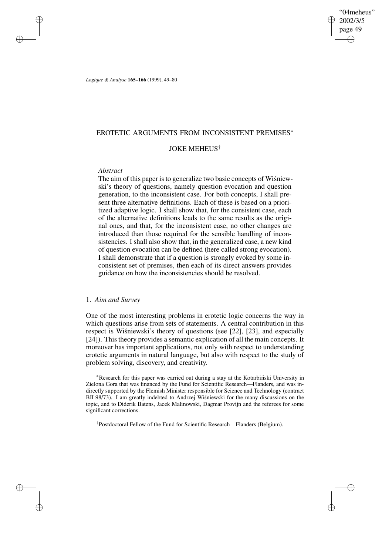"04meheus" 2002/3/5 page 49 ✐ ✐

✐

✐

*Logique & Analyse* **165–166** (1999), 49–80

# EROTETIC ARGUMENTS FROM INCONSISTENT PREMISES<sup>∗</sup>

# JOKE MEHEUS†

## *Abstract*

✐

✐

✐

✐

The aim of this paper is to generalize two basic concepts of Wisniewski's theory of questions, namely question evocation and question generation, to the inconsistent case. For both concepts, I shall present three alternative definitions. Each of these is based on a prioritized adaptive logic. I shall show that, for the consistent case, each of the alternative definitions leads to the same results as the original ones, and that, for the inconsistent case, no other changes are introduced than those required for the sensible handling of inconsistencies. I shall also show that, in the generalized case, a new kind of question evocation can be defined (here called strong evocation). I shall demonstrate that if a question is strongly evoked by some inconsistent set of premises, then each of its direct answers provides guidance on how the inconsistencies should be resolved.

# 1. *Aim and Survey*

One of the most interesting problems in erotetic logic concerns the way in which questions arise from sets of statements. A central contribution in this respect is Wisniewski's theory of questions (see  $[22]$ ,  $[23]$ , and especially [24]). This theory provides a semantic explication of all the main concepts. It moreover has important applications, not only with respect to understanding erotetic arguments in natural language, but also with respect to the study of problem solving, discovery, and creativity.

\*Research for this paper was carried out during a stay at the Kotarbinski University in Zielona Gora that was financed by the Fund for Scientific Research—Flanders, and was indirectly supported by the Flemish Minister responsible for Science and Technology (contract BIL98/73). I am greatly indebted to Andrzej Wisniewski for the many discussions on the topic, and to Diderik Batens, Jacek Malinowski, Dagmar Provijn and the referees for some significant corrections.

† Postdoctoral Fellow of the Fund for Scientific Research—Flanders (Belgium).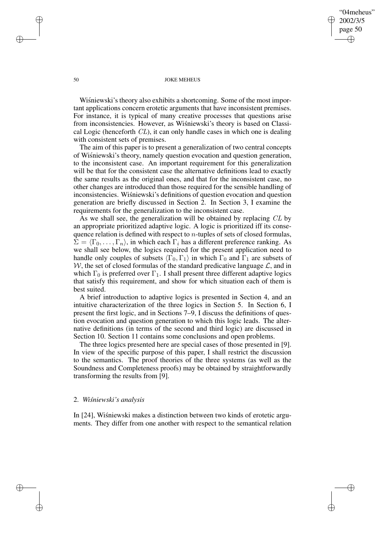✐

### 50 JOKE MEHEUS

Wisniewski's theory also exhibits a shortcoming. Some of the most important applications concern erotetic arguments that have inconsistent premises. For instance, it is typical of many creative processes that questions arise from inconsistencies. However, as Wisniewski's theory is based on Classical Logic (henceforth CL), it can only handle cases in which one is dealing with consistent sets of premises.

The aim of this paper is to present a generalization of two central concepts of Wisniewski's theory, namely question evocation and question generation, to the inconsistent case. An important requirement for this generalization will be that for the consistent case the alternative definitions lead to exactly the same results as the original ones, and that for the inconsistent case, no other changes are introduced than those required for the sensible handling of inconsistencies. Wisnie wski's definitions of question evocation and question generation are briefly discussed in Section 2. In Section 3, I examine the requirements for the generalization to the inconsistent case.

As we shall see, the generalization will be obtained by replacing CL by an appropriate prioritized adaptive logic. A logic is prioritized iff its consequence relation is defined with respect to  $n$ -tuples of sets of closed formulas,  $\Sigma = \langle \Gamma_0, \ldots, \Gamma_n \rangle$ , in which each  $\Gamma_i$  has a different preference ranking. As we shall see below, the logics required for the present application need to handle only couples of subsets  $\langle \Gamma_0, \Gamma_1 \rangle$  in which  $\Gamma_0$  and  $\Gamma_1$  are subsets of W, the set of closed formulas of the standard predicative language  $\mathcal{L}$ , and in which  $\Gamma_0$  is preferred over  $\Gamma_1$ . I shall present three different adaptive logics that satisfy this requirement, and show for which situation each of them is best suited.

A brief introduction to adaptive logics is presented in Section 4, and an intuitive characterization of the three logics in Section 5. In Section 6, I present the first logic, and in Sections 7–9, I discuss the definitions of question evocation and question generation to which this logic leads. The alternative definitions (in terms of the second and third logic) are discussed in Section 10. Section 11 contains some conclusions and open problems.

The three logics presented here are special cases of those presented in [9]. In view of the specific purpose of this paper, I shall restrict the discussion to the semantics. The proof theories of the three systems (as well as the Soundness and Completeness proofs) may be obtained by straightforwardly transforming the results from [9].

# 2. *Wisnie ´ wski's analysis*

In [24], Wisniewski makes a distinction between two kinds of erotetic arguments. They differ from one another with respect to the semantical relation

✐

✐

✐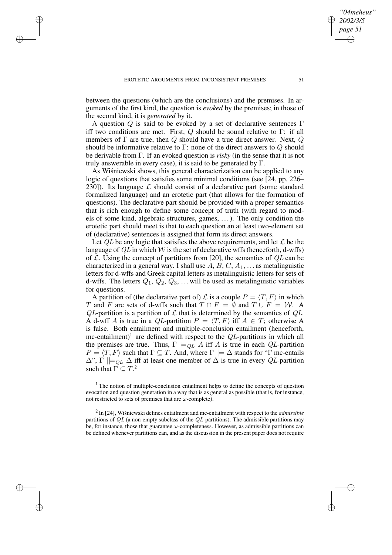✐

✐

✐

between the questions (which are the conclusions) and the premises. In arguments of the first kind, the question is *evoked* by the premises; in those of the second kind, it is *generated* by it.

A question Q is said to be evoked by a set of declarative sentences  $\Gamma$ iff two conditions are met. First, Q should be sound relative to  $\Gamma$ : if all members of  $\Gamma$  are true, then  $Q$  should have a true direct answer. Next,  $Q$ should be informative relative to  $\Gamma$ : none of the direct answers to  $Q$  should be derivable from Γ. If an evoked question is *risky* (in the sense that it is not truly answerable in every case), it is said to be generated by  $\Gamma$ .

As Wisniewski shows, this general characterization can be applied to any logic of questions that satisfies some minimal conditions (see [24, pp. 226– 230]). Its language  $\mathcal L$  should consist of a declarative part (some standard formalized language) and an erotetic part (that allows for the formation of questions). The declarative part should be provided with a proper semantics that is rich enough to define some concept of truth (with regard to models of some kind, algebraic structures, games, . . .). The only condition the erotetic part should meet is that to each question an at least two-element set of (declarative) sentences is assigned that form its direct answers.

Let  $OL$  be any logic that satisfies the above requirements, and let  $\mathcal L$  be the language of  $QL$  in which W is the set of declarative wffs (henceforth, d-wffs) of  $\mathcal L$ . Using the concept of partitions from [20], the semantics of  $QL$  can be characterized in a general way. I shall use  $A, B, C, A_1, \ldots$  as metalinguistic letters for d-wffs and Greek capital letters as metalinguistic letters for sets of d-wffs. The letters  $Q_1$ ,  $Q_2$ ,  $Q_3$ , ... will be used as metalinguistic variables for questions.

A partition of (the declarative part of)  $\mathcal L$  is a couple  $P = \langle T, F \rangle$  in which T and F are sets of d-wffs such that  $T \cap F = \emptyset$  and  $T \cup F = \mathcal{W}$ . A QL-partition is a partition of  $\mathcal L$  that is determined by the semantics of  $QL$ . A d-wff A is true in a QL-partition  $P = \langle T, F \rangle$  iff  $A \in T$ ; otherwise A is false. Both entailment and multiple-conclusion entailment (henceforth, mc-entailment)<sup>1</sup> are defined with respect to the  $QL$ -partitions in which all the premises are true. Thus,  $\Gamma \models_{QL} A$  iff A is true in each QL-partition  $P = \langle T, F \rangle$  such that  $\Gamma \subseteq T$ . And, where  $\Gamma \models \Delta$  stands for "Γ mc-entails"  $\Delta$ ",  $\Gamma \models_{OL} \Delta$  iff at least one member of  $\Delta$  is true in every QL-partition such that  $\Gamma \subseteq T$ .<sup>2</sup>

<sup>1</sup> The notion of multiple-conclusion entailment helps to define the concepts of question evocation and question generation in a way that is as general as possible (that is, for instance, not restricted to sets of premises that are  $\omega$ -complete).

 $2 \text{ In } [24]$ , Wisniewski defines entailment and mc-entailment with respect to the *admissible* partitions of  $QL$  (a non-empty subclass of the  $QL$ -partitions). The admissible partitions may be, for instance, those that guarantee  $\omega$ -completeness. However, as admissible partitions can be defined whenever partitions can, and as the discussion in the present paper does not require

*"04meheus" 2002/3/5 page 51*

✐

✐

✐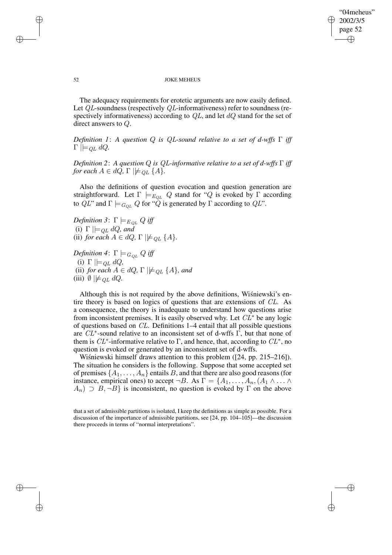✐

### 52 JOKE MEHEUS

The adequacy requirements for erotetic arguments are now easily defined. Let QL-soundness (respectively QL-informativeness) refer to soundness (respectively informativeness) according to  $QL$ , and let  $dQ$  stand for the set of direct answers to Q.

*Definition 1*: *A question* Q *is* QL*-sound relative to a set of d-wffs* Γ *iff*  $\Gamma \models_{QL} dQ.$ 

*Definition 2*: *A question* Q *is* QL*-informative relative to a set of d-wffs* Γ *iff for each*  $A \in dQ$ ,  $\Gamma \not\models \mathcal{Q}_L \{A\}.$ 

Also the definitions of question evocation and question generation are straightforward. Let  $\Gamma \models_{E_{QL}} Q$  stand for "Q is evoked by  $\Gamma$  according to  $QL$ " and  $\Gamma \models_{G_{QL}} Q$  for " $\tilde{Q}$  is generated by  $\Gamma$  according to  $QL$ ".

*Definition* 3:  $\Gamma \models_{E_{QL}} Q$  *iff* (i)  $\Gamma \models_{QL} dQ$ *, and* (ii) *for each*  $A \in dQ$ ,  $\Gamma \not\models QL$   $\{A\}$ .

*Definition* 4:  $\Gamma \models_{G_{QL}} Q$  *iff* (i)  $\Gamma \models_{QL} dQ$ , (ii) *for each*  $A \in dQ$ ,  $\Gamma \not\models q_L \{A\}$ , and (iii)  $\emptyset \not\models_{OL} dQ$ .

Although this is not required by the above definitions, Wisniewski's entire theory is based on logics of questions that are extensions of CL. As a consequence, the theory is inadequate to understand how questions arise from inconsistent premises. It is easily observed why. Let  $CL^*$  be any logic of questions based on CL. Definitions 1–4 entail that all possible questions are  $CL^*$ -sound relative to an inconsistent set of d-wffs  $\overline{\Gamma}$ , but that none of them is  $CL^*$ -informative relative to  $\Gamma$ , and hence, that, according to  $CL^*$ , no question is evoked or generated by an inconsistent set of d-wffs.

Wisniewski himself draws attention to this problem  $(24, pp. 215-216)$ . The situation he considers is the following. Suppose that some accepted set of premises  $\{A_1, \ldots, A_n\}$  entails B, and that there are also good reasons (for instance, empirical ones) to accept  $\neg B$ . As  $\Gamma = \{A_1, \ldots, A_n, (A_1 \land \ldots \land A_n)\}$  $A_n$ )  $\supset$  B,  $\neg$ B} is inconsistent, no question is evoked by  $\Gamma$  on the above

that a set of admissible partitions is isolated, I keep the definitions as simple as possible. For a discussion of the importance of admissible partitions, see [24, pp. 104–105]—the discussion there proceeds in terms of "normal interpretations".

✐

✐

✐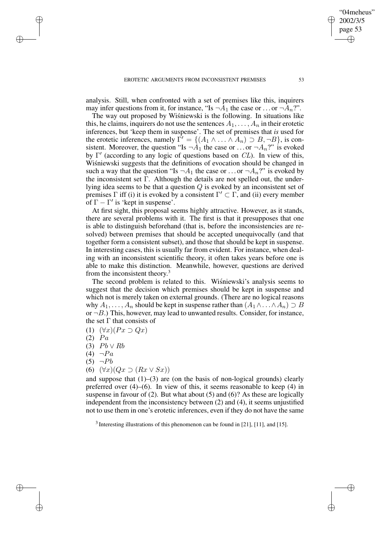analysis. Still, when confronted with a set of premises like this, inquirers may infer questions from it, for instance, "Is  $\neg \overline{A}_1$  the case or ... or  $\neg \overline{A}_n$ ?".

The way out proposed by Wisniewski is the following. In situations like this, he claims, inquirers do not use the sentences  $A_1, \ldots, A_n$  in their erotetic inferences, but 'keep them in suspense'. The set of premises that *is* used for the erotetic inferences, namely  $\overline{\Gamma'} = \{ (A_1 \wedge \dots \wedge A_n) \supset B, \neg B \}$ , is consistent. Moreover, the question "Is  $\neg A_1$  the case or ... or  $\neg A_n$ ?" is evoked by  $\Gamma'$  (according to any logic of questions based on CL). In view of this, Wisniewski suggests that the definitions of evocation should be changed in such a way that the question "Is  $\neg A_1$  the case or ... or  $\neg A_n$ ?" is evoked by the inconsistent set  $\Gamma$ . Although the details are not spelled out, the underlying idea seems to be that a question Q is evoked by an inconsistent set of premises  $\Gamma$  iff (i) it is evoked by a consistent  $\Gamma' \subset \Gamma$ , and (ii) every member of  $\Gamma - \Gamma'$  is 'kept in suspense'.

At first sight, this proposal seems highly attractive. However, as it stands, there are several problems with it. The first is that it presupposes that one is able to distinguish beforehand (that is, before the inconsistencies are resolved) between premises that should be accepted unequivocally (and that together form a consistent subset), and those that should be kept in suspense. In interesting cases, this is usually far from evident. For instance, when dealing with an inconsistent scientific theory, it often takes years before one is able to make this distinction. Meanwhile, however, questions are derived from the inconsistent theory.<sup>3</sup>

The second problem is related to this. Wisniewski's analysis seems to suggest that the decision which premises should be kept in suspense and which not is merely taken on external grounds. (There are no logical reasons why  $A_1, \ldots, A_n$  should be kept in suspense rather than  $(A_1 \wedge \ldots \wedge A_n) \supset B$ or  $\neg B$ .) This, however, may lead to unwanted results. Consider, for instance, the set  $\Gamma$  that consists of

- (1)  $(\forall x)(Px \supset Qx)$
- $(2)$   $Pa$

✐

✐

✐

✐

- (3)  $Pb \vee Rb$
- $(4) \neg Pa$
- $(5)$   $\neg Pb$
- (6)  $(\forall x)(Qx \supset (Rx \vee Sx))$

and suppose that  $(1)$ – $(3)$  are (on the basis of non-logical grounds) clearly preferred over (4)–(6). In view of this, it seems reasonable to keep (4) in suspense in favour of (2). But what about (5) and (6)? As these are logically independent from the inconsistency between (2) and (4), it seems unjustified not to use them in one's erotetic inferences, even if they do not have the same

<sup>3</sup> Interesting illustrations of this phenomenon can be found in [21], [11], and [15].

"04meheus" 2002/3/5 page 53

✐

✐

✐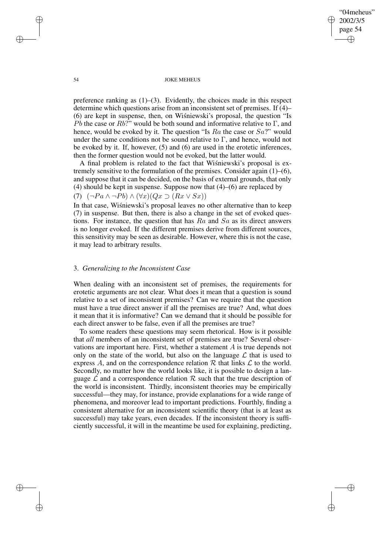"04meheus" 2002/3/5 page 54 ✐ ✐

✐

✐

## 54 JOKE MEHEUS

preference ranking as  $(1)$ – $(3)$ . Evidently, the choices made in this respect determine which questions arise from an inconsistent set of premises. If (4)–  $(6)$  are kept in suspense, then, on Wisniewski's proposal, the question "Is Pb the case or Rb?" would be both sound and informative relative to  $\Gamma$ , and hence, would be evoked by it. The question "Is  $Ra$  the case or  $Sa$ ?" would under the same conditions not be sound relative to  $\Gamma$ , and hence, would not be evoked by it. If, however, (5) and (6) are used in the erotetic inferences, then the former question would not be evoked, but the latter would.

A final problem is related to the fact that Wisniewski's proposal is extremely sensitive to the formulation of the premises. Consider again (1)–(6), and suppose that it can be decided, on the basis of external grounds, that only (4) should be kept in suspense. Suppose now that (4)–(6) are replaced by (7)  $(\neg Pa \wedge \neg Pb) \wedge (\forall x)(Qx \supset (Rx \vee Sx))$ 

In that case, Wisniewski's proposal leaves no other alternative than to keep (7) in suspense. But then, there is also a change in the set of evoked questions. For instance, the question that has  $Ra$  and  $Sa$  as its direct answers is no longer evoked. If the different premises derive from different sources, this sensitivity may be seen as desirable. However, where this is not the case, it may lead to arbitrary results.

## 3. *Generalizing to the Inconsistent Case*

When dealing with an inconsistent set of premises, the requirements for erotetic arguments are not clear. What does it mean that a question is sound relative to a set of inconsistent premises? Can we require that the question must have a true direct answer if all the premises are true? And, what does it mean that it is informative? Can we demand that it should be possible for each direct answer to be false, even if all the premises are true?

To some readers these questions may seem rhetorical. How is it possible that *all* members of an inconsistent set of premises are true? Several observations are important here. First, whether a statement A is true depends not only on the state of the world, but also on the language  $\mathcal L$  that is used to express A, and on the correspondence relation  $R$  that links  $\mathcal L$  to the world. Secondly, no matter how the world looks like, it is possible to design a language  $\mathcal L$  and a correspondence relation  $\mathcal R$  such that the true description of the world is inconsistent. Thirdly, inconsistent theories may be empirically successful—they may, for instance, provide explanations for a wide range of phenomena, and moreover lead to important predictions. Fourthly, finding a consistent alternative for an inconsistent scientific theory (that is at least as successful) may take years, even decades. If the inconsistent theory is sufficiently successful, it will in the meantime be used for explaining, predicting,

✐

✐

✐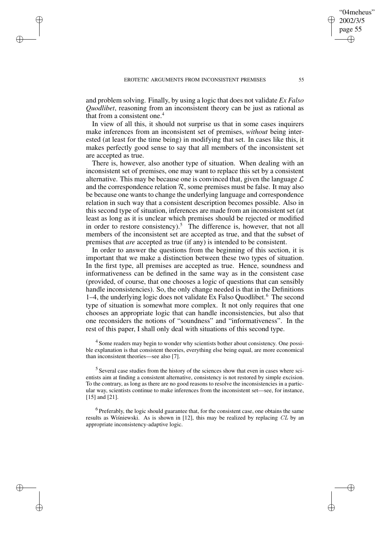✐

✐

✐

and problem solving. Finally, by using a logic that does not validate *Ex Falso Quodlibet*, reasoning from an inconsistent theory can be just as rational as that from a consistent one.<sup>4</sup>

In view of all this, it should not surprise us that in some cases inquirers make inferences from an inconsistent set of premises, *without* being interested (at least for the time being) in modifying that set. In cases like this, it makes perfectly good sense to say that all members of the inconsistent set are accepted as true.

There is, however, also another type of situation. When dealing with an inconsistent set of premises, one may want to replace this set by a consistent alternative. This may be because one is convinced that, given the language  $\mathcal L$ and the correspondence relation  $R$ , some premises must be false. It may also be because one wants to change the underlying language and correspondence relation in such way that a consistent description becomes possible. Also in this second type of situation, inferences are made from an inconsistent set (at least as long as it is unclear which premises should be rejected or modified in order to restore consistency).<sup>5</sup> The difference is, however, that not all members of the inconsistent set are accepted as true, and that the subset of premises that *are* accepted as true (if any) is intended to be consistent.

In order to answer the questions from the beginning of this section, it is important that we make a distinction between these two types of situation. In the first type, all premises are accepted as true. Hence, soundness and informativeness can be defined in the same way as in the consistent case (provided, of course, that one chooses a logic of questions that can sensibly handle inconsistencies). So, the only change needed is that in the Definitions 1–4, the underlying logic does not validate Ex Falso Quodlibet.<sup>6</sup> The second type of situation is somewhat more complex. It not only requires that one chooses an appropriate logic that can handle inconsistencies, but also that one reconsiders the notions of "soundness" and "informativeness". In the rest of this paper, I shall only deal with situations of this second type.

<sup>4</sup> Some readers may begin to wonder why scientists bother about consistency. One possible explanation is that consistent theories, everything else being equal, are more economical than inconsistent theories—see also [7].

<sup>5</sup> Several case studies from the history of the sciences show that even in cases where scientists aim at finding a consistent alternative, consistency is not restored by simple excision. To the contrary, as long as there are no good reasons to resolve the inconsistencies in a particular way, scientists continue to make inferences from the inconsistent set—see, for instance, [15] and [21].

 $<sup>6</sup>$  Preferably, the logic should guarantee that, for the consistent case, one obtains the same</sup> results as Wisniewski. As is shown in  $[12]$ , this may be realized by replacing  $CL$  by an appropriate inconsistency-adaptive logic.

"04meheus" 2002/3/5 page 55

✐

✐

✐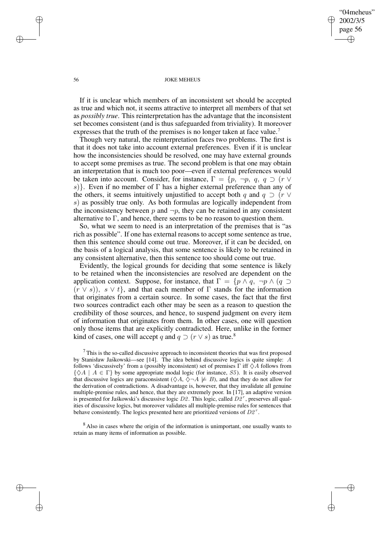"04meheus" 2002/3/5 page 56 ✐ ✐

✐

✐

### 56 JOKE MEHEUS

If it is unclear which members of an inconsistent set should be accepted as true and which not, it seems attractive to interpret all members of that set as *possibly true*. This reinterpretation has the advantage that the inconsistent set becomes consistent (and is thus safeguarded from triviality). It moreover expresses that the truth of the premises is no longer taken at face value.<sup>7</sup>

Though very natural, the reinterpretation faces two problems. The first is that it does not take into account external preferences. Even if it is unclear how the inconsistencies should be resolved, one may have external grounds to accept some premises as true. The second problem is that one may obtain an interpretation that is much too poor—even if external preferences would be taken into account. Consider, for instance,  $\Gamma = \{p, \neg p, q, q \supset (r \vee r) \}$ s). Even if no member of  $\Gamma$  has a higher external preference than any of the others, it seems intuitively unjustified to accept both q and  $q \supset (r \vee$ s) as possibly true only. As both formulas are logically independent from the inconsistency between p and  $\neg p$ , they can be retained in any consistent alternative to  $\Gamma$ , and hence, there seems to be no reason to question them.

So, what we seem to need is an interpretation of the premises that is "as rich as possible". If one has external reasons to accept some sentence as true, then this sentence should come out true. Moreover, if it can be decided, on the basis of a logical analysis, that some sentence is likely to be retained in any consistent alternative, then this sentence too should come out true.

Evidently, the logical grounds for deciding that some sentence is likely to be retained when the inconsistencies are resolved are dependent on the application context. Suppose, for instance, that  $\Gamma = \{p \land q, \neg p \land (q \supset$  $(\overline{r} \vee s)$ ,  $s \vee t$ , and that each member of  $\Gamma$  stands for the information that originates from a certain source. In some cases, the fact that the first two sources contradict each other may be seen as a reason to question the credibility of those sources, and hence, to suspend judgment on every item of information that originates from them. In other cases, one will question only those items that are explicitly contradicted. Here, unlike in the former kind of cases, one will accept q and  $q \supset (r \vee s)$  as true.<sup>8</sup>

 $\frac{7}{1}$  This is the so-called discussive approach to inconsistent theories that was first proposed by Stanisław Jaśkowski—see [14]. The idea behind discussive logics is quite simple: A follows 'discussively' from a (possibly inconsistent) set of premises  $\Gamma$  iff  $\diamondsuit A$  follows from  $\{\diamondsuit A \mid A \in \Gamma\}$  by some appropriate modal logic (for instance, S5). It is easily observed that discussive logics are paraconsistent ( $\Diamond A$ ,  $\Diamond \neg A \not\models B$ ), and that they do not allow for the derivation of contradictions. A disadvantage is, however, that they invalidate all genuine multiple-premise rules, and hence, that they are extremely poor. In [17], an adaptive version is presented for Jaskowski's discussive logic  $D2$ . This logic, called  $D2^r$ , preserves all qualities of discussive logics, but moreover validates all multiple-premise rules for sentences that behave consistently. The logics presented here are prioritized versions of  $D2^r$ .

<sup>8</sup> Also in cases where the origin of the information is unimportant, one usually wants to retain as many items of information as possible.

✐

✐

✐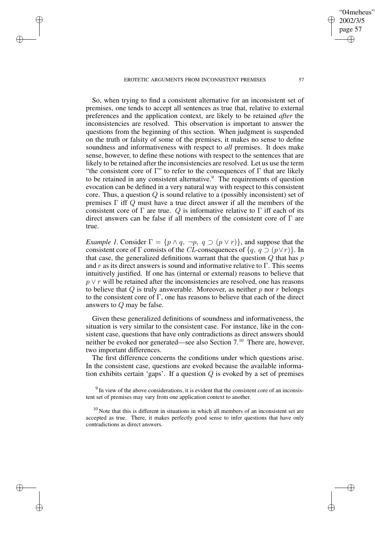EROTETIC ARGUMENTS FROM INCONSISTENT PREMISES 57

✐

✐

✐

✐

So, when trying to find a consistent alternative for an inconsistent set of premises, one tends to accept all sentences as true that, relative to external preferences and the application context, are likely to be retained *after* the inconsistencies are resolved. This observation is important to answer the questions from the beginning of this section. When judgment is suspended on the truth or falsity of some of the premises, it makes no sense to define soundness and informativeness with respect to *all* premises. It does make sense, however, to define these notions with respect to the sentences that are likely to be retained after the inconsistencies are resolved. Let us use the term "the consistent core of  $\Gamma$ " to refer to the consequences of  $\Gamma$  that are likely to be retained in any consistent alternative.<sup>9</sup> The requirements of question evocation can be defined in a very natural way with respect to this consistent core. Thus, a question  $Q$  is sound relative to a (possibly inconsistent) set of premises  $\Gamma$  iff  $Q$  must have a true direct answer if all the members of the consistent core of  $\Gamma$  are true. Q is informative relative to  $\Gamma$  iff each of its direct answers can be false if all members of the consistent core of  $\Gamma$  are true.

*Example 1.* Consider  $\Gamma = \{p \land q, \neg p, q \supset (p \lor r)\}$ , and suppose that the consistent core of  $\Gamma$  consists of the *CL*-consequences of  $\{q, q \supset (p \vee r)\}\$ . In that case, the generalized definitions warrant that the question  $Q$  that has  $p$ and r as its direct answers is sound and informative relative to  $\Gamma$ . This seems intuitively justified. If one has (internal or external) reasons to believe that p ∨ r will be retained after the inconsistencies are resolved, one has reasons to believe that  $Q$  is truly answerable. Moreover, as neither  $p$  nor  $r$  belongs to the consistent core of  $\Gamma$ , one has reasons to believe that each of the direct answers to Q may be false.

Given these generalized definitions of soundness and informativeness, the situation is very similar to the consistent case. For instance, like in the consistent case, questions that have only contradictions as direct answers should neither be evoked nor generated—see also Section 7.<sup>10</sup> There are, however, two important differences.

The first difference concerns the conditions under which questions arise. In the consistent case, questions are evoked because the available information exhibits certain 'gaps'. If a question  $Q$  is evoked by a set of premises

 $9 \text{ In view of the above considerations, it is evident that the consistent core of an inconsistency.}$ tent set of premises may vary from one application context to another.

 $10$  Note that this is different in situations in which all members of an inconsistent set are accepted as true. There, it makes perfectly good sense to infer questions that have only contradictions as direct answers.

"04meheus" 2002/3/5 page 57

✐

✐

✐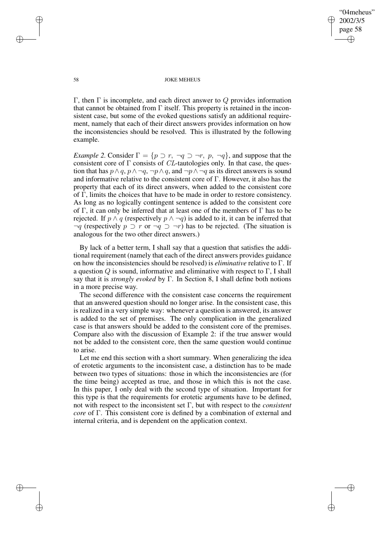✐

#### 58 JOKE MEHEUS

Γ, then Γ is incomplete, and each direct answer to  $Q$  provides information that cannot be obtained from  $\Gamma$  itself. This property is retained in the inconsistent case, but some of the evoked questions satisfy an additional requirement, namely that each of their direct answers provides information on how the inconsistencies should be resolved. This is illustrated by the following example.

*Example* 2. Consider  $\Gamma = \{p \supset r, \neg q \supset \neg r, p, \neg q\}$ , and suppose that the consistent core of  $\Gamma$  consists of *CL*-tautologies only. In that case, the question that has  $p \wedge q$ ,  $p \wedge \neg q$ ,  $\neg p \wedge q$ , and  $\neg p \wedge \neg q$  as its direct answers is sound and informative relative to the consistent core of Γ. However, it also has the property that each of its direct answers, when added to the consistent core of Γ, limits the choices that have to be made in order to restore consistency. As long as no logically contingent sentence is added to the consistent core of Γ, it can only be inferred that at least one of the members of Γ has to be rejected. If  $p \wedge q$  (respectively  $p \wedge \neg q$ ) is added to it, it can be inferred that  $\neg q$  (respectively  $p \supset r$  or  $\neg q \supset \neg r$ ) has to be rejected. (The situation is analogous for the two other direct answers.)

By lack of a better term, I shall say that a question that satisfies the additional requirement (namely that each of the direct answers provides guidance on how the inconsistencies should be resolved) is *eliminative* relative to Γ. If a question  $Q$  is sound, informative and eliminative with respect to  $\Gamma$ , I shall say that it is *strongly evoked* by Γ. In Section 8, I shall define both notions in a more precise way.

The second difference with the consistent case concerns the requirement that an answered question should no longer arise. In the consistent case, this is realized in a very simple way: whenever a question is answered, its answer is added to the set of premises. The only complication in the generalized case is that answers should be added to the consistent core of the premises. Compare also with the discussion of Example 2: if the true answer would not be added to the consistent core, then the same question would continue to arise.

Let me end this section with a short summary. When generalizing the idea of erotetic arguments to the inconsistent case, a distinction has to be made between two types of situations: those in which the inconsistencies are (for the time being) accepted as true, and those in which this is not the case. In this paper, I only deal with the second type of situation. Important for this type is that the requirements for erotetic arguments have to be defined, not with respect to the inconsistent set Γ, but with respect to the *consistent core* of Γ. This consistent core is defined by a combination of external and internal criteria, and is dependent on the application context.

 $\rightarrow$ 

 $\rightarrow$ 

✐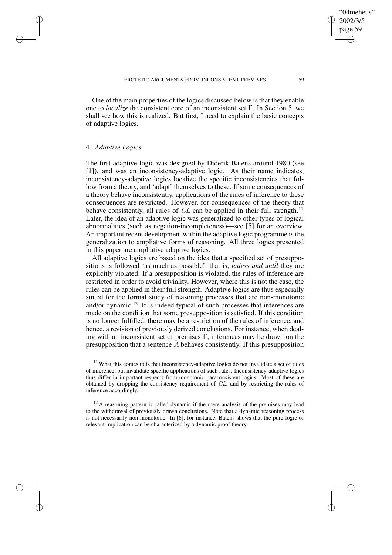One of the main properties of the logics discussed below is that they enable one to *localize* the consistent core of an inconsistent set Γ. In Section 5, we shall see how this is realized. But first, I need to explain the basic concepts of adaptive logics.

## 4. *Adaptive Logics*

 $\rightarrow$ 

 $\rightarrow$ 

✐

✐

The first adaptive logic was designed by Diderik Batens around 1980 (see [1]), and was an inconsistency-adaptive logic. As their name indicates, inconsistency-adaptive logics localize the specific inconsistencies that follow from a theory, and 'adapt' themselves to these. If some consequences of a theory behave inconsistently, applications of the rules of inference to these consequences are restricted. However, for consequences of the theory that behave consistently, all rules of  $CL$  can be applied in their full strength.<sup>11</sup> Later, the idea of an adaptive logic was generalized to other types of logical abnormalities (such as negation-incompleteness)—see [5] for an overview. An important recent development within the adaptive logic programme is the generalization to ampliative forms of reasoning. All three logics presented in this paper are ampliative adaptive logics.

All adaptive logics are based on the idea that a specified set of presuppositions is followed 'as much as possible', that is, *unless and until* they are explicitly violated. If a presupposition is violated, the rules of inference are restricted in order to avoid triviality. However, where this is not the case, the rules can be applied in their full strength. Adaptive logics are thus especially suited for the formal study of reasoning processes that are non-monotonic and/or dynamic.<sup>12</sup> It is indeed typical of such processes that inferences are made on the condition that some presupposition is satisfied. If this condition is no longer fulfilled, there may be a restriction of the rules of inference, and hence, a revision of previously derived conclusions. For instance, when dealing with an inconsistent set of premises  $\Gamma$ , inferences may be drawn on the presupposition that a sentence A behaves consistently. If this presupposition

"04meheus" 2002/3/5 page 59

✐

✐

✐

 $11$  What this comes to is that inconsistency-adaptive logics do not invalidate a set of rules of inference, but invalidate specific applications of such rules. Inconsistency-adaptive logics thus differ in important respects from monotonic paraconsistent logics. Most of these are obtained by dropping the consistency requirement of  $CL$ , and by restricting the rules of inference accordingly.

 $12$  A reasoning pattern is called dynamic if the mere analysis of the premises may lead to the withdrawal of previously drawn conclusions. Note that a dynamic reasoning process is not necessarily non-monotonic. In [6], for instance, Batens shows that the pure logic of relevant implication can be characterized by a dynamic proof theory.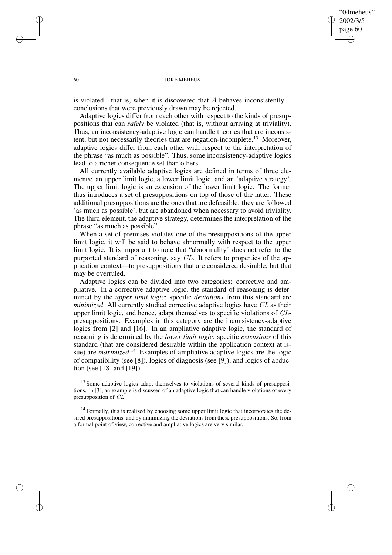"04meheus" 2002/3/5 page 60 ✐ ✐

✐

✐

### 60 JOKE MEHEUS

is violated—that is, when it is discovered that  $A$  behaves inconsistently conclusions that were previously drawn may be rejected.

Adaptive logics differ from each other with respect to the kinds of presuppositions that can *safely* be violated (that is, without arriving at triviality). Thus, an inconsistency-adaptive logic can handle theories that are inconsistent, but not necessarily theories that are negation-incomplete.<sup>13</sup> Moreover, adaptive logics differ from each other with respect to the interpretation of the phrase "as much as possible". Thus, some inconsistency-adaptive logics lead to a richer consequence set than others.

All currently available adaptive logics are defined in terms of three elements: an upper limit logic, a lower limit logic, and an 'adaptive strategy'. The upper limit logic is an extension of the lower limit logic. The former thus introduces a set of presuppositions on top of those of the latter. These additional presuppositions are the ones that are defeasible: they are followed 'as much as possible', but are abandoned when necessary to avoid triviality. The third element, the adaptive strategy, determines the interpretation of the phrase "as much as possible".

When a set of premises violates one of the presuppositions of the upper limit logic, it will be said to behave abnormally with respect to the upper limit logic. It is important to note that "abnormality" does not refer to the purported standard of reasoning, say CL. It refers to properties of the application context—to presuppositions that are considered desirable, but that may be overruled.

Adaptive logics can be divided into two categories: corrective and ampliative. In a corrective adaptive logic, the standard of reasoning is determined by the *upper limit logic*; specific *deviations* from this standard are *minimized*. All currently studied corrective adaptive logics have CL as their upper limit logic, and hence, adapt themselves to specific violations of CLpresuppositions. Examples in this category are the inconsistency-adaptive logics from [2] and [16]. In an ampliative adaptive logic, the standard of reasoning is determined by the *lower limit logic*; specific *extensions* of this standard (that are considered desirable within the application context at issue) are *maximized*.<sup>14</sup> Examples of ampliative adaptive logics are the logic of compatibility (see [8]), logics of diagnosis (see [9]), and logics of abduction (see [18] and [19]).

<sup>13</sup> Some adaptive logics adapt themselves to violations of several kinds of presuppositions. In [3], an example is discussed of an adaptive logic that can handle violations of every presupposition of CL.

<sup>14</sup> Formally, this is realized by choosing some upper limit logic that incorporates the desired presuppositions, and by minimizing the deviations from these presuppositions. So, from a formal point of view, corrective and ampliative logics are very similar.

 $\rightarrow$ 

 $\rightarrow$ 

✐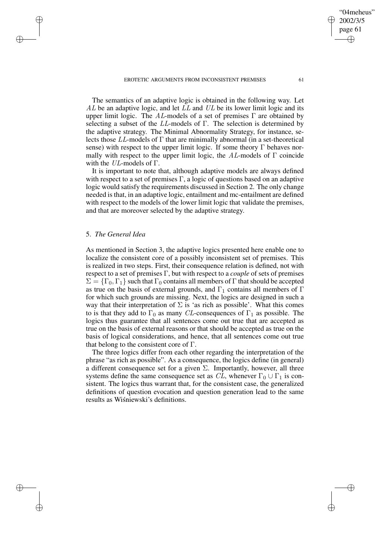EROTETIC ARGUMENTS FROM INCONSISTENT PREMISES 61

"04meheus" 2002/3/5 page 61 ✐ ✐

✐

✐

The semantics of an adaptive logic is obtained in the following way. Let  $AL$  be an adaptive logic, and let  $LL$  and  $UL$  be its lower limit logic and its upper limit logic. The AL-models of a set of premises  $\Gamma$  are obtained by selecting a subset of the LL-models of  $\Gamma$ . The selection is determined by the adaptive strategy. The Minimal Abnormality Strategy, for instance, selects those  $LL$ -models of  $\Gamma$  that are minimally abnormal (in a set-theoretical sense) with respect to the upper limit logic. If some theory  $\Gamma$  behaves normally with respect to the upper limit logic, the AL-models of  $\Gamma$  coincide with the  $UL$ -models of  $\Gamma$ .

It is important to note that, although adaptive models are always defined with respect to a set of premises  $\Gamma$ , a logic of questions based on an adaptive logic would satisfy the requirements discussed in Section 2. The only change needed is that, in an adaptive logic, entailment and mc-entailment are defined with respect to the models of the lower limit logic that validate the premises, and that are moreover selected by the adaptive strategy.

# 5. *The General Idea*

 $\rightarrow$ 

 $\rightarrow$ 

✐

✐

As mentioned in Section 3, the adaptive logics presented here enable one to localize the consistent core of a possibly inconsistent set of premises. This is realized in two steps. First, their consequence relation is defined, not with respect to a set of premises Γ, but with respect to a *couple* of sets of premises  $\Sigma = \{\Gamma_0, \Gamma_1\}$  such that  $\Gamma_0$  contains all members of  $\Gamma$  that should be accepted as true on the basis of external grounds, and  $\Gamma_1$  contains all members of  $\Gamma$ for which such grounds are missing. Next, the logics are designed in such a way that their interpretation of  $\Sigma$  is 'as rich as possible'. What this comes to is that they add to  $\Gamma_0$  as many CL-consequences of  $\Gamma_1$  as possible. The logics thus guarantee that all sentences come out true that are accepted as true on the basis of external reasons or that should be accepted as true on the basis of logical considerations, and hence, that all sentences come out true that belong to the consistent core of  $\Gamma$ .

The three logics differ from each other regarding the interpretation of the phrase "as rich as possible". As a consequence, the logics define (in general) a different consequence set for a given  $\Sigma$ . Importantly, however, all three systems define the same consequence set as  $CL$ , whenever  $\Gamma_0 \cup \Gamma_1$  is consistent. The logics thus warrant that, for the consistent case, the generalized definitions of question evocation and question generation lead to the same results as Wiśniewski's definitions.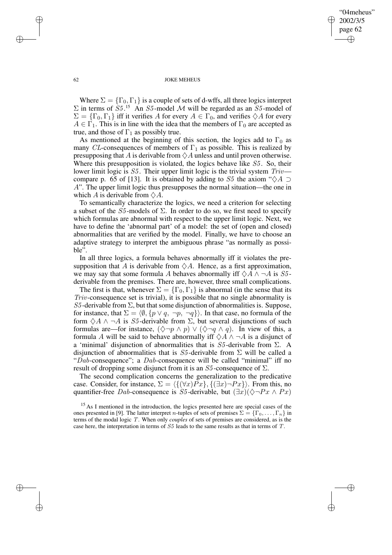"04meheus" 2002/3/5 page 62 ✐ ✐

✐

✐

## 62 JOKE MEHEUS

Where  $\Sigma = {\{\Gamma_0, \Gamma_1\}}$  is a couple of sets of d-wffs, all three logics interpret  $\Sigma$  in terms of  $S5<sup>15</sup>$  An  $S5$ -model M will be regarded as an  $S5$ -model of  $\Sigma = {\{\Gamma_0, \Gamma_1\}}$  iff it verifies A for every  $A \in \Gamma_0$ , and verifies  $\diamondsuit A$  for every  $A \in \Gamma_1$ . This is in line with the idea that the members of  $\Gamma_0$  are accepted as true, and those of  $\Gamma_1$  as possibly true.

As mentioned at the beginning of this section, the logics add to  $\Gamma_0$  as many CL-consequences of members of  $\Gamma_1$  as possible. This is realized by presupposing that A is derivable from  $\Diamond A$  unless and until proven otherwise. Where this presupposition is violated, the logics behave like  $S5$ . So, their lower limit logic is  $S5$ . Their upper limit logic is the trivial system  $Triv$  compare p. 65 of [13]. It is obtained by adding to S5 the axiom " $\diamond A \supset$ A". The upper limit logic thus presupposes the normal situation—the one in which A is derivable from  $\Diamond A$ .

To semantically characterize the logics, we need a criterion for selecting a subset of the S5-models of  $\Sigma$ . In order to do so, we first need to specify which formulas are abnormal with respect to the upper limit logic. Next, we have to define the 'abnormal part' of a model: the set of (open and closed) abnormalities that are verified by the model. Finally, we have to choose an adaptive strategy to interpret the ambiguous phrase "as normally as possible".

In all three logics, a formula behaves abnormally iff it violates the presupposition that A is derivable from  $\Diamond A$ . Hence, as a first approximation, we may say that some formula A behaves abnormally iff  $\Diamond A \land \neg A$  is S5derivable from the premises. There are, however, three small complications.

The first is that, whenever  $\Sigma = {\{\Gamma_0, \Gamma_1\}}$  is abnormal (in the sense that its Triv-consequence set is trivial), it is possible that no single abnormality is S5-derivable from  $\Sigma$ , but that some disjunction of abnormalities is. Suppose, for instance, that  $\Sigma = \langle \emptyset, \{p \lor q, \neg p, \neg q\}\rangle$ . In that case, no formula of the form  $\Diamond A \land \neg A$  is S5-derivable from  $\Sigma$ , but several disjunctions of such formulas are—for instance,  $(\Diamond \neg p \land p) \lor (\Diamond \neg q \land q)$ . In view of this, a formula A will be said to behave abnormally iff  $\diamondsuit A \wedge \neg A$  is a disjunct of a 'minimal' disjunction of abnormalities that is  $S5$ -derivable from  $\Sigma$ . A disjunction of abnormalities that is S5-derivable from  $\Sigma$  will be called a "Dab-consequence"; a Dab-consequence will be called "minimal" iff no result of dropping some disjunct from it is an  $S_5$ -consequence of  $\Sigma$ .

The second complication concerns the generalization to the predicative case. Consider, for instance,  $\Sigma = \langle {\{\forall x\}Px}, {\{\exists x\} \neg Px\}} \rangle$ . From this, no quantifier-free Dab-consequence is S5-derivable, but  $(\exists x)(\Diamond \neg Px \land Px)$ 

 $\rightarrow$ 

 $\rightarrow$ 

✐

<sup>&</sup>lt;sup>15</sup> As I mentioned in the introduction, the logics presented here are special cases of the ones presented in [9]. The latter interpret *n*-tuples of sets of premises  $\Sigma = {\Gamma_0, \ldots, \Gamma_n}$  in terms of the modal logic T. When only *couples* of sets of premises are considered, as is the case here, the interpretation in terms of S5 leads to the same results as that in terms of T.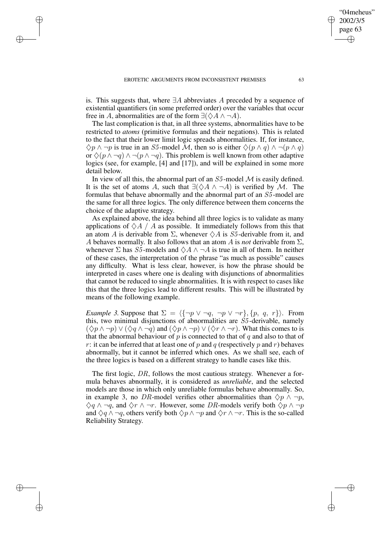$\rightarrow$ 

 $\rightarrow$ 

✐

✐

is. This suggests that, where  $\exists A$  abbreviates A preceded by a sequence of existential quantifiers (in some preferred order) over the variables that occur free in A, abnormalities are of the form  $\exists (\Diamond A \land \neg A)$ .

The last complication is that, in all three systems, abnormalities have to be restricted to *atoms* (primitive formulas and their negations). This is related to the fact that their lower limit logic spreads abnormalities. If, for instance,  $\Diamond p \land \neg p$  is true in an S5-model M, then so is either  $\Diamond (p \land q) \land \neg (p \land q)$ or  $\Diamond(p \land \neg q) \land \neg(p \land \neg q)$ . This problem is well known from other adaptive logics (see, for example, [4] and [17]), and will be explained in some more detail below.

In view of all this, the abnormal part of an  $S_5$ -model  $\mathcal M$  is easily defined. It is the set of atoms A, such that  $\exists (\Diamond A \land \neg A)$  is verified by M. The formulas that behave abnormally and the abnormal part of an S5 -model are the same for all three logics. The only difference between them concerns the choice of the adaptive strategy.

As explained above, the idea behind all three logics is to validate as many applications of  $\Diamond A / A$  as possible. It immediately follows from this that an atom A is derivable from  $\Sigma$ , whenever  $\diamondsuit A$  is S5-derivable from it, and A behaves normally. It also follows that an atom A is *not* derivable from  $\Sigma$ , whenever  $\Sigma$  has  $S5$ -models and  $\diamond A \wedge \neg A$  is true in all of them. In neither of these cases, the interpretation of the phrase "as much as possible" causes any difficulty. What is less clear, however, is how the phrase should be interpreted in cases where one is dealing with disjunctions of abnormalities that cannot be reduced to single abnormalities. It is with respect to cases like this that the three logics lead to different results. This will be illustrated by means of the following example.

*Example* 3. Suppose that  $\Sigma = \langle {\neg p \lor \neg q, \neg p \lor \neg r}, {p, q, r} \rangle$ . From this, two minimal disjunctions of abnormalities are  $S<sub>5</sub>$ -derivable, namely  $(\Diamond p \land \neg p) \lor (\Diamond q \land \neg q)$  and  $(\Diamond p \land \neg p) \lor (\Diamond r \land \neg r)$ . What this comes to is that the abnormal behaviour of p is connected to that of q and also to that of r: it can be inferred that at least one of p and q (respectively p and r) behaves abnormally, but it cannot be inferred which ones. As we shall see, each of the three logics is based on a different strategy to handle cases like this.

The first logic, DR, follows the most cautious strategy. Whenever a formula behaves abnormally, it is considered as *unreliable*, and the selected models are those in which only unreliable formulas behave abnormally. So, in example 3, no DR-model verifies other abnormalities than  $\Diamond p \land \neg p$ ,  $\diamondsuit q \wedge \neg q$ , and  $\diamondsuit r \wedge \neg r$ . However, some DR-models verify both  $\diamondsuit p \wedge \neg p$ and  $\Diamond q \land \neg q$ , others verify both  $\Diamond p \land \neg p$  and  $\Diamond r \land \neg r$ . This is the so-called Reliability Strategy.

"04meheus" 2002/3/5 page 63

✐

✐

✐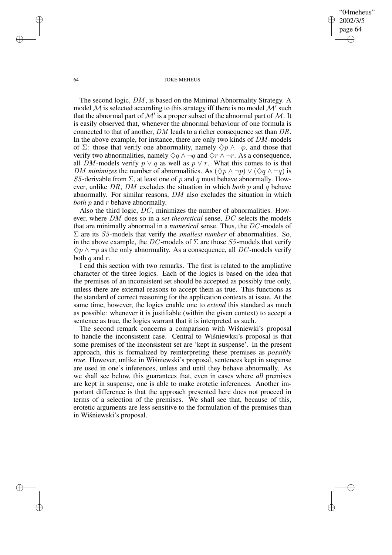"04meheus" 2002/3/5 page 64 ✐ ✐

✐

✐

#### 64 JOKE MEHEUS

The second logic, DM , is based on the Minimal Abnormality Strategy. A model M is selected according to this strategy iff there is no model  $\mathcal{M}'$  such that the abnormal part of  $\mathcal{M}'$  is a proper subset of the abnormal part of  $\mathcal{M}$ . It is easily observed that, whenever the abnormal behaviour of one formula is connected to that of another, DM leads to a richer consequence set than DR. In the above example, for instance, there are only two kinds of DM -models of  $\Sigma$ : those that verify one abnormality, namely  $\Diamond p \land \neg p$ , and those that verify two abnormalities, namely  $\Diamond q \land \neg q$  and  $\Diamond r \land \neg r$ . As a consequence, all DM-models verify  $p \vee q$  as well as  $p \vee r$ . What this comes to is that *DM minimizes* the number of abnormalities. As  $(\Diamond p \land \neg p) \lor (\Diamond q \land \neg q)$  is S5-derivable from  $\Sigma$ , at least one of p and q must behave abnormally. However, unlike DR, DM excludes the situation in which *both* p and q behave abnormally. For similar reasons, DM also excludes the situation in which *both p* and *r* behave abnormally.

Also the third logic, DC, minimizes the number of abnormalities. However, where DM does so in a *set-theoretical* sense, DC selects the models that are minimally abnormal in a *numerical* sense. Thus, the DC -models of  $\Sigma$  are its *S5*-models that verify the *smallest number* of abnormalities. So, in the above example, the DC-models of  $\Sigma$  are those  $S_5$ -models that verify  $\Diamond p \land \neg p$  as the only abnormality. As a consequence, all DC-models verify both  $q$  and  $r$ .

I end this section with two remarks. The first is related to the ampliative character of the three logics. Each of the logics is based on the idea that the premises of an inconsistent set should be accepted as possibly true only, unless there are external reasons to accept them as true. This functions as the standard of correct reasoning for the application contexts at issue. At the same time, however, the logics enable one to *extend* this standard as much as possible: whenever it is justifiable (within the given context) to accept a sentence as true, the logics warrant that it is interpreted as such.

The second remark concerns a comparison with Wisnie wki's proposal to handle the inconsistent case. Central to Wisniewksi's proposal is that some premises of the inconsistent set are 'kept in suspense'. In the present approach, this is formalized by reinterpreting these premises as *possibly true*. However, unlike in Wisniewski's proposal, sentences kept in suspense are used in one's inferences, unless and until they behave abnormally. As we shall see below, this guarantees that, even in cases where *all* premises are kept in suspense, one is able to make erotetic inferences. Another important difference is that the approach presented here does not proceed in terms of a selection of the premises. We shall see that, because of this, erotetic arguments are less sensitive to the formulation of the premises than in Wiśniewski's proposal.

 $\rightarrow$ 

 $\rightarrow$ 

✐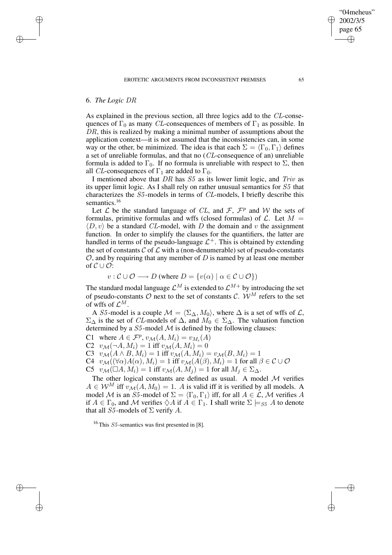# 6. *The Logic* DR

✐

✐

✐

✐

As explained in the previous section, all three logics add to the CL-consequences of  $\Gamma_0$  as many CL-consequences of members of  $\Gamma_1$  as possible. In DR, this is realized by making a minimal number of assumptions about the application context—it is not assumed that the inconsistencies can, in some way or the other, be minimized. The idea is that each  $\Sigma = \langle \Gamma_0, \Gamma_1 \rangle$  defines a set of unreliable formulas, and that no (CL-consequence of an) unreliable formula is added to  $\Gamma_0$ . If no formula is unreliable with respect to  $\Sigma$ , then all *CL*-consequences of  $\Gamma_1$  are added to  $\Gamma_0$ .

I mentioned above that DR has  $S_5$  as its lower limit logic, and Triv as its upper limit logic. As I shall rely on rather unusual semantics for S5 that characterizes the S5 -models in terms of CL-models, I briefly describe this semantics.<sup>16</sup>

Let  $\mathcal L$  be the standard language of CL, and  $\mathcal F$ ,  $\mathcal F^p$  and W the sets of formulas, primitive formulas and wffs (closed formulas) of  $\mathcal{L}$ . Let  $M =$  $\langle D, v \rangle$  be a standard *CL*-model, with D the domain and v the assignment function. In order to simplify the clauses for the quantifiers, the latter are handled in terms of the pseudo-language  $\mathcal{L}^+$ . This is obtained by extending the set of constants  $C$  of  $\mathcal L$  with a (non-denumerable) set of pseudo-constants  $\mathcal{O}$ , and by requiring that any member of D is named by at least one member of  $C \cup \mathcal{O}$ :

$$
v: \mathcal{C} \cup \mathcal{O} \longrightarrow D \text{ (where } D = \{v(\alpha) \mid \alpha \in \mathcal{C} \cup \mathcal{O}\})
$$

The standard modal language  $\mathcal{L}^M$  is extended to  $\mathcal{L}^{M+}$  by introducing the set of pseudo-constants  $O$  next to the set of constants  $C$ .  $W^M$  refers to the set of wffs of  $\mathcal{L}^M$ .

A S5-model is a couple  $\mathcal{M} = \langle \Sigma_{\Delta}, M_0 \rangle$ , where  $\Delta$  is a set of wffs of  $\mathcal{L}$ ,  $\Sigma_{\Delta}$  is the set of *CL*-models of  $\Delta$ , and  $M_0 \in \Sigma_{\Delta}$ . The valuation function determined by a  $S_5$ -model  $M$  is defined by the following clauses:

C1 where  $A \in \mathcal{F}^p$ ,  $v_{\mathcal{M}}(A, M_i) = v_{M_i}(A)$ 

C2  $v_{\mathcal{M}}(\neg A, M_i) = 1$  iff  $v_{\mathcal{M}}(A, M_i) = 0$ 

C3  $v_{\mathcal{M}}(A \wedge B, M_i) = 1$  iff  $v_{\mathcal{M}}(A, M_i) = v_{\mathcal{M}}(B, M_i) = 1$ 

C4  $v_{\mathcal{M}}((\forall \alpha)A(\alpha), M_i) = 1$  iff  $v_{\mathcal{M}}(A(\beta), M_i) = 1$  for all  $\beta \in \mathcal{C} \cup \mathcal{O}$ 

C5  $v_{\mathcal{M}}(\square A, M_i) = 1$  iff  $v_{\mathcal{M}}(A, M_i) = 1$  for all  $M_i \in \Sigma_{\Delta}$ .

The other logical constants are defined as usual. A model  $M$  verifies  $A \in \mathcal{W}^M$  iff  $v_{\mathcal{M}}(A, M_0) = 1$ . A is valid iff it is verified by all models. A model M is an S5-model of  $\Sigma = \langle \Gamma_0, \Gamma_1 \rangle$  iff, for all  $A \in \mathcal{L}$ , M verifies A if  $A \in \Gamma_0$ , and M verifies  $\Diamond A$  if  $A \in \Gamma_1$ . I shall write  $\Sigma \models_{S_1} A$  to denote that all S5-models of  $\Sigma$  verify A.

<sup>16</sup> This  $S5$ -semantics was first presented in [8].

"04meheus" 2002/3/5 page 65

✐

✐

✐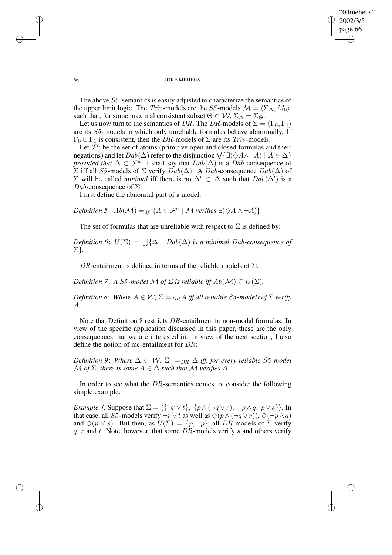✐

## 66 JOKE MEHEUS

The above S5 -semantics is easily adjusted to characterize the semantics of the upper limit logic. The Triv-models are the S5-models  $\mathcal{M} = \langle \Sigma \wedge, M_0 \rangle$ , such that, for some maximal consistent subset  $\Theta \subset \mathcal{W}, \Sigma_{\Delta} = \Sigma_{\Theta}$ .

Let us now turn to the semantics of DR. The DR-models of  $\Sigma = \langle \Gamma_0, \Gamma_1 \rangle$ are its S5 -models in which only unreliable formulas behave abnormally. If  $\Gamma_0 \cup \Gamma_1$  is consistent, then the DR-models of  $\Sigma$  are its Triv-models.

Let  $\mathcal{F}^a$  be the set of atoms (primitive open and closed formulas and their negations) and let  $Dab(\Delta)$  refer to the disjunction  $\bigvee{\{\exists (\diamondsuit A \wedge \neg A) \mid A \in \Delta\}}$ *provided that*  $\Delta \subset \mathcal{F}^a$ . I shall say that  $Dab(\Delta)$  is a Dab-consequence of  $\Sigma$  iff all *S5*-models of  $\Sigma$  verify *Dab*( $\Delta$ ). A *Dab*-consequence *Dab*( $\Delta$ ) of  $\Sigma$  will be called *minimal* iff there is no  $\Delta'$  ⊂  $\Delta$  such that  $Dab(\Delta')$  is a Dab-consequence of  $\Sigma$ .

I first define the abnormal part of a model:

*Definition* 5:  $Ab(\mathcal{M}) =_{df} \{A \in \mathcal{F}^a \mid \mathcal{M} \text{ verifies } \exists (\Diamond A \land \neg A)\}.$ 

The set of formulas that are unreliable with respect to  $\Sigma$  is defined by:

 $Definition 6: U(\Sigma) = \bigcup \{ \Delta \mid Dab(\Delta) \text{ is a minimal } Dab\text{-}consequence of$ Σ}*.*

DR-entailment is defined in terms of the reliable models of  $\Sigma$ :

*Definition* 7: *A S5-model M of*  $\Sigma$  *is reliable iff*  $Ab(\mathcal{M}) \subseteq U(\Sigma)$ *.* 

*Definition* 8: *Where*  $A \in \mathcal{W}$ ,  $\Sigma \models_{DR} A$  *iff all reliable* S5-models of  $\Sigma$  *verify* A*.*

Note that Definition 8 restricts DR-entailment to non-modal formulas. In view of the specific application discussed in this paper, these are the only consequences that we are interested in. In view of the next section, I also define the notion of mc-entailment for DR:

*Definition* 9: *Where*  $\Delta \subset W$ ,  $\Sigma \models_{DR} \Delta$  *iff, for every reliable* S5-model  $M$  *of*  $\Sigma$ *, there is some*  $A \in \Delta$  *such that*  $M$  *verifies*  $A$ *.* 

In order to see what the DR-semantics comes to, consider the following simple example.

*Example* 4. Suppose that  $\Sigma = \langle {\neg r \vee t} \rangle$ ,  $\{p \wedge (\neg q \vee r), \neg p \wedge q, p \vee s \rangle$ . In that case, all S5-models verify  $\neg r \lor t$  as well as  $\Diamond (p \land (\neg q \lor r))$ ,  $\Diamond (\neg p \land q)$ and  $\Diamond(p \lor s)$ . But then, as  $U(\Sigma) = \{p, \neg p\}$ , all DR-models of  $\Sigma$  verify  $q, r$  and  $t$ . Note, however, that some  $DR$ -models verify s and others verify

✐

✐

✐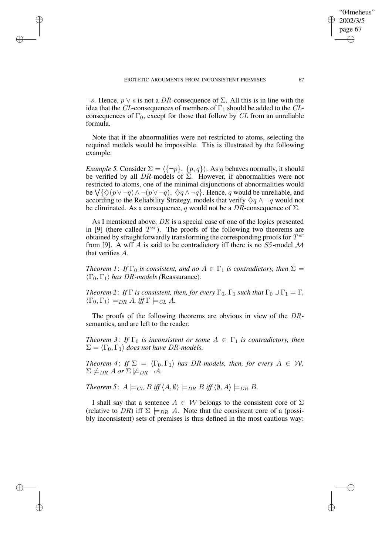✐

✐

✐

 $\neg s$ . Hence,  $p \vee s$  is not a DR-consequence of  $\Sigma$ . All this is in line with the idea that the CL-consequences of members of  $\Gamma_1$  should be added to the CLconsequences of  $\Gamma_0$ , except for those that follow by CL from an unreliable formula.

Note that if the abnormalities were not restricted to atoms, selecting the required models would be impossible. This is illustrated by the following example.

*Example* 5. Consider  $\Sigma = \langle {\neg p}, \{p, q\} \rangle$ . As q behaves normally, it should be verified by all DR-models of  $\Sigma$ . However, if abnormalities were not restricted to atoms, one of the minimal disjunctions of abnormalities would be  $\bigvee$ { $\Diamond$ ( $p \vee \neg q$ )  $\land \neg(p \vee \neg q)$ ,  $\Diamond$  $q \land \neg q$ }. Hence, q would be unreliable, and according to the Reliability Strategy, models that verify  $\Diamond q \land \neg q$  would not be eliminated. As a consequence, q would not be a DR-consequence of  $\Sigma$ .

As I mentioned above, DR is a special case of one of the logics presented in [9] (there called  $T^{sr}$ ). The proofs of the following two theorems are obtained by straightforwardly transforming the corresponding proofs for  $T^{sr}$ from [9]. A wff A is said to be contradictory iff there is no  $S_5$ -model M that verifies A.

*Theorem 1: If*  $\Gamma_0$  *is consistent, and no*  $A \in \Gamma_1$  *is contradictory, then*  $\Sigma =$  $\langle \Gamma_0, \Gamma_1 \rangle$  *has DR-models* (Reassurance).

*Theorem* 2: *If*  $\Gamma$  *is consistent, then, for every*  $\Gamma_0$ ,  $\Gamma_1$  *such that*  $\Gamma_0 \cup \Gamma_1 = \Gamma$ ,  $\langle \Gamma_0, \Gamma_1 \rangle \models_{DR} A$ , *iff*  $\Gamma \models_{CL} A$ .

The proofs of the following theorems are obvious in view of the DRsemantics, and are left to the reader:

*Theorem* 3: *If*  $\Gamma_0$  *is inconsistent or some*  $A \in \Gamma_1$  *is contradictory, then*  $\Sigma = \langle \Gamma_0, \Gamma_1 \rangle$  *does not have DR-models.* 

*Theorem* 4: *If*  $\Sigma = \langle \Gamma_0, \Gamma_1 \rangle$  *has DR-models, then, for every*  $A \in W$ ,  $\Sigma \not\models_{DR} A$  or  $\Sigma \not\models_{DR} \neg A$ .

*Theorem* 5:  $A \models_{CL} B$  *iff*  $\langle A, \emptyset \rangle \models_{DR} B$  *iff*  $\langle \emptyset, A \rangle \models_{DR} B$ .

I shall say that a sentence  $A \in W$  belongs to the consistent core of  $\Sigma$ (relative to DR) iff  $\Sigma \models_{DR} A$ . Note that the consistent core of a (possibly inconsistent) sets of premises is thus defined in the most cautious way:

"04meheus" 2002/3/5 page 67

✐

✐

✐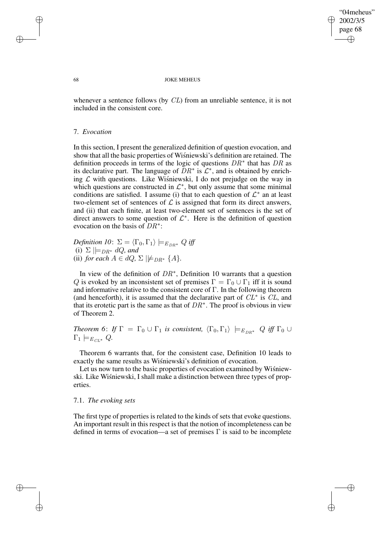✐

#### 68 JOKE MEHEUS

whenever a sentence follows (by CL) from an unreliable sentence, it is not included in the consistent core.

## 7. *Evocation*

In this section, I present the generalized definition of question evocation, and show that all the basic properties of Wisniewski's definition are retained. The definition proceeds in terms of the logic of questions  $DR^*$  that has DR as its declarative part. The language of  $\overline{DR}^*$  is  $\mathcal{L}^*$ , and is obtained by enriching  $\mathcal L$  with questions. Like Wisniewski, I do not prejudge on the way in which questions are constructed in  $\mathcal{L}^*$ , but only assume that some minimal conditions are satisfied. I assume (i) that to each question of  $\mathcal{L}^*$  an at least two-element set of sentences of  $\mathcal L$  is assigned that form its direct answers, and (ii) that each finite, at least two-element set of sentences is the set of direct answers to some question of  $\mathcal{L}^*$ . Here is the definition of question evocation on the basis of  $DR^*$ :

*Definition* 10:  $\Sigma = \langle \Gamma_0, \Gamma_1 \rangle \models_{E_{DR}^*} Q$  *iff* (i)  $\Sigma \models_{DR^*} dQ$ , and (ii) *for each*  $A \in dQ$ ,  $\Sigma \not\models_{DR^*} \{A\}.$ 

In view of the definition of  $DR^*$ , Definition 10 warrants that a question Q is evoked by an inconsistent set of premises  $\Gamma = \Gamma_0 \cup \Gamma_1$  iff it is sound and informative relative to the consistent core of  $\Gamma$ . In the following theorem (and henceforth), it is assumed that the declarative part of  $CL^*$  is  $CL$ , and that its erotetic part is the same as that of  $DR^*$ . The proof is obvious in view of Theorem 2.

*Theorem* 6: *If*  $\Gamma = \Gamma_0 \cup \Gamma_1$  *is consistent,*  $\langle \Gamma_0, \Gamma_1 \rangle \models_{E_{DR^*}} Q$  *iff*  $\Gamma_0 \cup$  $\Gamma_1 \models_{E_{CL^*}} Q.$ 

Theorem 6 warrants that, for the consistent case, Definition 10 leads to exactly the same results as Wisniewski's definition of evocation.

Let us now turn to the basic properties of evocation examined by Wisniewski. Like Wisnie wski, I shall make a distinction between three types of properties.

## 7.1. *The evoking sets*

The first type of properties is related to the kinds of sets that evoke questions. An important result in this respect is that the notion of incompleteness can be defined in terms of evocation—a set of premises  $\Gamma$  is said to be incomplete

✐

✐

✐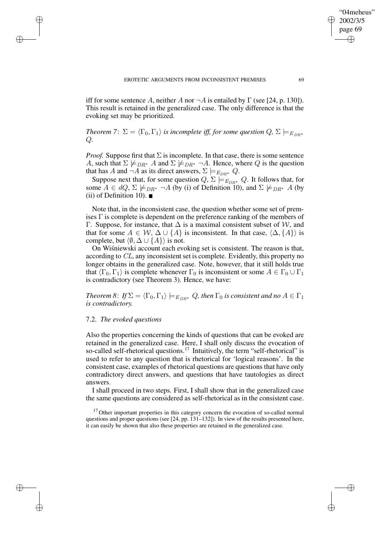iff for some sentence A, neither A nor  $\neg A$  is entailed by  $\Gamma$  (see [24, p. 130]). This result is retained in the generalized case. The only difference is that the evoking set may be prioritized.

*Theorem* 7:  $\Sigma = \langle \Gamma_0, \Gamma_1 \rangle$  *is incomplete iff, for some question*  $Q$ ,  $\Sigma \models_{E_{DR^*}}$ Q*.*

*Proof.* Suppose first that  $\Sigma$  is incomplete. In that case, there is some sentence A, such that  $\Sigma \not\models_{DR^*} A$  and  $\Sigma \not\models_{DR^*} \neg A$ . Hence, where Q is the question that has A and  $\neg A$  as its direct answers,  $\Sigma \models_{E_{DR^*}} Q$ .

Suppose next that, for some question  $Q$ ,  $\Sigma \models_{E_{DR^*}} Q$ . It follows that, for some  $A \in dQ$ ,  $\Sigma \not\models_{DR^*} \neg A$  (by (i) of Definition 10), and  $\Sigma \not\models_{DR^*} A$  (by  $(ii)$  of Definition 10).

Note that, in the inconsistent case, the question whether some set of premises  $\Gamma$  is complete is dependent on the preference ranking of the members of Γ. Suppose, for instance, that  $\Delta$  is a maximal consistent subset of W, and that for some  $A \in W$ ,  $\Delta \cup \{A\}$  is inconsistent. In that case,  $\langle \Delta, \{A\} \rangle$  is complete, but  $\langle \emptyset, \Delta \cup \{A\} \rangle$  is not.

On Wisniewski account each evoking set is consistent. The reason is that, according to CL, any inconsistent set is complete. Evidently, this property no longer obtains in the generalized case. Note, however, that it still holds true that  $\langle \Gamma_0, \Gamma_1 \rangle$  is complete whenever  $\Gamma_0$  is inconsistent or some  $A \in \Gamma_0 \cup \Gamma_1$ is contradictory (see Theorem 3). Hence, we have:

*Theorem* 8: *If*  $\Sigma = \langle \Gamma_0, \Gamma_1 \rangle \models_{E_{DR}^*} Q$ , *then*  $\Gamma_0$  *is consistent and no*  $A \in \Gamma_1$ *is contradictory.*

## 7.2. *The evoked questions*

✐

✐

✐

✐

Also the properties concerning the kinds of questions that can be evoked are retained in the generalized case. Here, I shall only discuss the evocation of so-called self-rhetorical questions.<sup>17</sup> Intuitively, the term "self-rhetorical" is used to refer to any question that is rhetorical for 'logical reasons'. In the consistent case, examples of rhetorical questions are questions that have only contradictory direct answers, and questions that have tautologies as direct answers.

I shall proceed in two steps. First, I shall show that in the generalized case the same questions are considered as self-rhetorical as in the consistent case.

"04meheus" 2002/3/5 page 69

✐

✐

✐

<sup>&</sup>lt;sup>17</sup> Other important properties in this category concern the evocation of so-called normal questions and proper questions (see [24, pp. 131–132]). In view of the results presented here, it can easily be shown that also these properties are retained in the generalized case.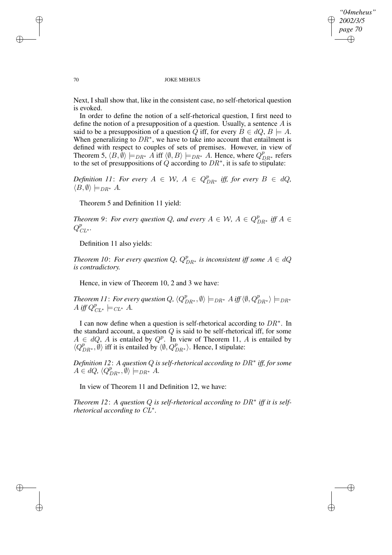✐

#### 70 JOKE MEHEUS

Next, I shall show that, like in the consistent case, no self-rhetorical question is evoked.

In order to define the notion of a self-rhetorical question, I first need to define the notion of a presupposition of a question. Usually, a sentence A is said to be a presupposition of a question Q iff, for every  $B \in dQ$ ,  $B \models A$ . When generalizing to  $DR^*$ , we have to take into account that entailment is defined with respect to couples of sets of premises. However, in view of Theorem 5,  $\langle B, \emptyset \rangle \models_{DR^*} A$  iff  $\langle \emptyset, B \rangle \models_{DR^*} A$ . Hence, where  $Q_{DR^*}^p$  refers to the set of presuppositions of Q according to  $DR^*$ , it is safe to stipulate:

*Definition* 11: For every  $A \in W$ ,  $A \in Q_{DR^*}^p$  iff, for every  $B \in dQ$ ,  $\langle B, \emptyset \rangle \models_{DR^*} A$ .

Theorem 5 and Definition 11 yield:

*Theorem* 9: *For every question* Q, and *every*  $A \in W$ ,  $A \in Q_{DR^*}^p$  *iff*  $A \in$  $Q_{CL^*}^p$ .

Definition 11 also yields:

*Theorem 10: For every question Q,*  $Q_{DR*}^p$  *is inconsistent iff some*  $A \in dQ$ *is contradictory.*

Hence, in view of Theorem 10, 2 and 3 we have:

Theorem 11: For every question  $Q$ ,  $\langle Q^p_{DR^*}, \emptyset \rangle \models_{DR^*} A$  iff  $\langle \emptyset, Q^p_{DR^*} \rangle \models_{DR^*}$ A iff  $Q_{CL^*}^p \models_{CL^*} A$ .

I can now define when a question is self-rhetorical according to  $DR^*$ . In the standard account, a question  $Q$  is said to be self-rhetorical iff, for some  $A \in dQ$ , A is entailed by  $Q^p$ . In view of Theorem 11, A is entailed by  $\langle Q_{DR^*}^p, \emptyset \rangle$  iff it is entailed by  $\langle \emptyset, Q_{DR^*}^p \rangle$ . Hence, I stipulate:

*Definition 12*: *A question* Q *is self-rhetorical according to* DR<sup>∗</sup> *iff, for some*  $A \in dQ$ ,  $\langle Q_{DR^*}^p, \emptyset \rangle \models_{DR^*} A$ .

In view of Theorem 11 and Definition 12, we have:

*Theorem 12*: *A question* Q *is self-rhetorical according to* DR<sup>∗</sup> *iff it is selfrhetorical according to* CL<sup>∗</sup> *.*

✐

✐

✐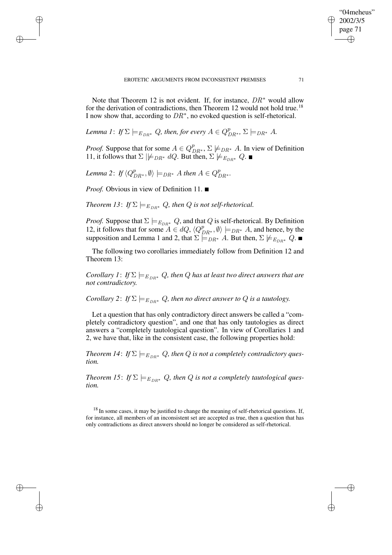Note that Theorem 12 is not evident. If, for instance,  $DR^*$  would allow for the derivation of contradictions, then Theorem 12 would not hold true.<sup>18</sup> I now show that, according to  $DR^*$ , no evoked question is self-rhetorical.

*Lemma 1*: *If*  $\Sigma \models_{E_{DR^*}} Q$ , then, for every  $A \in Q_{DR^*}^p$ ,  $\Sigma \models_{DR^*} A$ .

*Proof.* Suppose that for some  $A \in Q_{DR^*}^p$ ,  $\Sigma \not\models_{DR^*} A$ . In view of Definition 11, it follows that  $\Sigma \not\models_{DR^*} dQ$ . But then,  $\Sigma \not\models_{E_{DR^*}} Q$ .

Lemma 2: If  $\langle Q_{DR^*}^p, \emptyset \rangle \models_{DR^*} A$  then  $A \in Q_{DR^*}^p$ .

*Proof.* Obvious in view of Definition 11. ■

✐

✐

✐

✐

*Theorem 13: If*  $\Sigma \models_{E_{DP*}} Q$ , *then Q is not self-rhetorical.* 

*Proof.* Suppose that  $\Sigma \models_{E_{DR}^*} Q$ , and that  $Q$  is self-rhetorical. By Definition 12, it follows that for some  $A \in dQ$ ,  $\langle Q_{DR^*}^p, \emptyset \rangle \models_{DR^*} A$ , and hence, by the supposition and Lemma 1 and 2, that  $\Sigma \models_{DR^*} A$ . But then,  $\Sigma \not\models_{E_{DR^*}} Q$ .

The following two corollaries immediately follow from Definition 12 and Theorem 13:

*Corollary* 1: *If*  $\Sigma \models_{E_{DR^*}} Q$ , *then Q has at least two direct answers that are not contradictory.*

*Corollary* 2: *If*  $\Sigma \models_{E_{DR^*}} Q$ , *then no direct answer to Q is a tautology.* 

Let a question that has only contradictory direct answers be called a "completely contradictory question", and one that has only tautologies as direct answers a "completely tautological question". In view of Corollaries 1 and 2, we have that, like in the consistent case, the following properties hold:

*Theorem 14: If*  $\Sigma \models_{E_{DR}^*} Q$ , *then Q is not a completely contradictory question.*

*Theorem 15: If*  $\Sigma \models_{E_{DR}^*} Q$ , *then Q is not a completely tautological question.*

 $18$  In some cases, it may be justified to change the meaning of self-rhetorical questions. If, for instance, all members of an inconsistent set are accepted as true, then a question that has only contradictions as direct answers should no longer be considered as self-rhetorical.

"04meheus" 2002/3/5 page 71

✐

✐

✐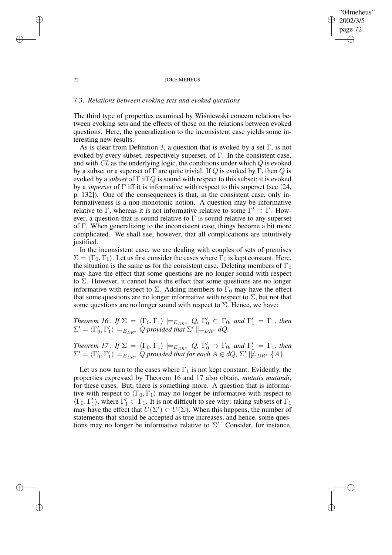## "04meheus" 2002/3/5 page 72 ✐ ✐

✐

✐

#### 72 JOKE MEHEUS

## 7.3. *Relations between evoking sets and evoked questions*

✐

✐

✐

✐

The third type of properties examined by Wisniewski concern relations between evoking sets and the effects of these on the relations between evoked questions. Here, the generalization to the inconsistent case yields some interesting new results.

As is clear from Definition 3, a question that is evoked by a set  $\Gamma$ , is not evoked by every subset, respectively superset, of  $\Gamma$ . In the consistent case, and with  $CL$  as the underlying logic, the conditions under which  $Q$  is evoked by a subset or a superset of  $\Gamma$  are quite trivial. If Q is evoked by  $\Gamma$ , then Q is evoked by a *subset* of Γ iff Q is sound with respect to this subset; it is evoked by a *superset* of Γ iff it is informative with respect to this superset (see [24, p. 132]). One of the consequences is that, in the consistent case, only informativeness is a non-monotonic notion. A question may be informative relative to  $\Gamma$ , whereas it is not informative relative to some  $\Gamma' \supset \Gamma$ . However, a question that is sound relative to  $\Gamma$  is sound relative to any superset of Γ. When generalizing to the inconsistent case, things become a bit more complicated. We shall see, however, that all complications are intuitively justified.

In the inconsistent case, we are dealing with couples of sets of premises  $\Sigma = \langle \Gamma_0, \Gamma_1 \rangle$ . Let us first consider the cases where  $\Gamma_1$  is kept constant. Here, the situation is the same as for the consistent case. Deleting members of  $\Gamma_0$ may have the effect that some questions are no longer sound with respect to  $\Sigma$ . However, it cannot have the effect that some questions are no longer informative with respect to  $\Sigma$ . Adding members to  $\Gamma_0$  may have the effect that some questions are no longer informative with respect to  $\Sigma$ , but not that some questions are no longer sound with respect to  $\Sigma$ . Hence, we have:

*Theorem 16: If*  $\Sigma = \langle \Gamma_0, \Gamma_1 \rangle \models_{E_{DR}^*} Q$ ,  $\Gamma'_0 \subset \Gamma_0$ , and  $\Gamma'_1 = \Gamma_1$ , *then*  $\Sigma' = \langle \Gamma'_0, \Gamma'_1 \rangle \models_{E_{DR^*}} Q$  provided that  $\Sigma' \models_{DR^*} dQ$ .

*Theorem 17: If*  $\Sigma = \langle \Gamma_0, \Gamma_1 \rangle \models_{E_{DR}^*} Q$ ,  $\Gamma'_0 \supset \Gamma_0$ , and  $\Gamma'_1 = \Gamma_1$ , *then*  $\Sigma' = \langle \Gamma'_0, \Gamma'_1 \rangle \models_{E_{DR^*}} Q$  provided that for each  $A \in dQ$ ,  $\Sigma' \mid \not\models_{DR^*} \{A\}.$ 

Let us now turn to the cases where  $\Gamma_1$  is not kept constant. Evidently, the properties expressed by Theorem 16 and 17 also obtain, *mutatis mutandi*, for these cases. But, there is something more. A question that is informative with respect to  $\langle \Gamma_0, \Gamma_1 \rangle$  may no longer be informative with respect to  $\langle \Gamma_0, \Gamma'_1 \rangle$ , where  $\Gamma'_1 \subset \Gamma_1$ . It is not difficult to see why: taking subsets of  $\Gamma_1$ may have the effect that  $U(\Sigma') \subset U(\Sigma)$ . When this happens, the number of statements that should be accepted as true increases, and hence, some questions may no longer be informative relative to  $\Sigma'$ . Consider, for instance,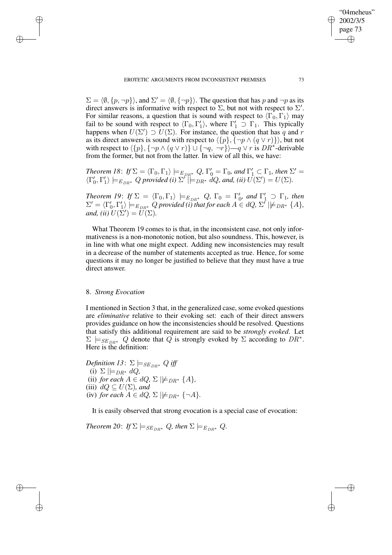$\Sigma = \langle \emptyset, \{p, \neg p\} \rangle$ , and  $\Sigma' = \langle \emptyset, \{\neg p\} \rangle$ . The question that has p and  $\neg p$  as its direct answers is informative with respect to  $\Sigma$ , but not with respect to  $\Sigma'$ . For similar reasons, a question that is sound with respect to  $\langle \Gamma_0, \Gamma_1 \rangle$  may fail to be sound with respect to  $\langle \Gamma_0, \Gamma'_1 \rangle$ , where  $\Gamma'_1 \supset \Gamma_1$ . This typically happens when  $U(\Sigma') \supset U(\Sigma)$ . For instance, the question that has q and r as its direct answers is sound with respect to  $\langle {p}, {\neg p \wedge (q \vee r)} \rangle$ , but not with respect to  $\langle \{p\}, \{\neg p \wedge (q \vee r)\}\cup \{\neg q, \neg r\}\rangle$  — $q \vee r$  is DR<sup>\*</sup>-derivable from the former, but not from the latter. In view of all this, we have:

*Theorem 18: If*  $\Sigma = \langle \Gamma_0, \Gamma_1 \rangle \models_{E_{DR}^*} Q$ ,  $\Gamma'_0 = \Gamma_0$ , and  $\Gamma'_1 \subset \Gamma_1$ , then  $\Sigma' =$  $\langle \Gamma'_0, \Gamma'_1 \rangle \models_{E_{DR^*}} Q$  provided (i)  $\Sigma' \models_{DR^*} dQ$ , and, (ii)  $U(\Sigma') = U(\Sigma)$ .

*Theorem 19: If*  $\Sigma = \langle \Gamma_0, \Gamma_1 \rangle \models_{E_{DR}^*} Q$ ,  $\Gamma_0 = \Gamma'_0$ , and  $\Gamma'_1 \supset \Gamma_1$ , *then*  $\Sigma' = \langle \Gamma'_0, \Gamma'_1 \rangle \models_{E_{DR^*}} Q$  provided *(i)* that for each  $A \in dQ$ ,  $\Sigma' \not\models_{DR^*} \{A\}$ , *and, (ii)*  $U(\Sigma') = \widetilde{U}(\Sigma)$ .

What Theorem 19 comes to is that, in the inconsistent case, not only informativeness is a non-monotonic notion, but also soundness. This, however, is in line with what one might expect. Adding new inconsistencies may result in a decrease of the number of statements accepted as true. Hence, for some questions it may no longer be justified to believe that they must have a true direct answer.

# 8. *Strong Evocation*

✐

✐

✐

✐

I mentioned in Section 3 that, in the generalized case, some evoked questions are *eliminative* relative to their evoking set: each of their direct answers provides guidance on how the inconsistencies should be resolved. Questions that satisfy this additional requirement are said to be *strongly evoked*. Let  $\Sigma \models_{SE_{DR^*}} Q$  denote that  $\widehat{Q}$  is strongly evoked by  $\Sigma$  according to  $DR^*$ . Here is the definition:

*Definition* 13:  $\Sigma \models_{SE_{DR^*}} Q$  *iff* (i)  $\Sigma \models_{DR^*} dQ$ (ii) *for each*  $A \in dQ$ ,  $\Sigma \not\models_{DR^*} \{A\}$ , (iii)  $dQ \subseteq U(\Sigma)$ *, and* (iv) *for each*  $A \in dQ$ ,  $\Sigma \not\models DB^* {\neg A}$ .

It is easily observed that strong evocation is a special case of evocation:

*Theorem* 20: *If*  $\Sigma \models_{SE_{DR*}} Q$ , *then*  $\Sigma \models_{E_{DR*}} Q$ .

"04meheus" 2002/3/5 page 73

✐

✐

✐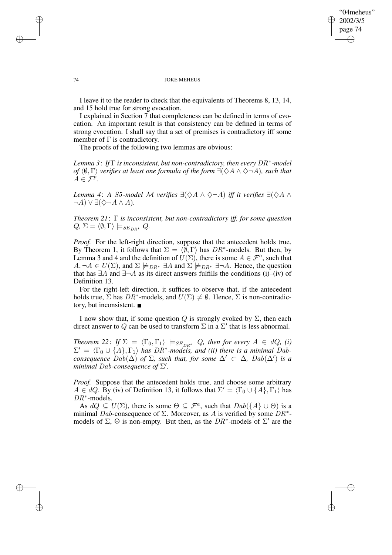## "04meheus" 2002/3/5 page 74 ✐ ✐

✐

✐

#### 74 JOKE MEHEUS

I leave it to the reader to check that the equivalents of Theorems 8, 13, 14, and 15 hold true for strong evocation.

I explained in Section 7 that completeness can be defined in terms of evocation. An important result is that consistency can be defined in terms of strong evocation. I shall say that a set of premises is contradictory iff some member of  $\Gamma$  is contradictory.

The proofs of the following two lemmas are obvious:

*Lemma 3*: *If* Γ *is inconsistent, but non-contradictory, then every* DR<sup>∗</sup> *-model of*  $\langle \emptyset, \Gamma \rangle$  *verifies at least one formula of the form*  $\exists (\Diamond A \land \Diamond \neg A)$ *, such that*  $A \in \mathcal{F}^p$ .

*Lemma* 4: *A* S5-model M verifies  $\exists (\Diamond A \land \Diamond \neg A)$  iff it verifies  $\exists (\Diamond A \land \Diamond \neg A)$  $\neg A$ ) ∨  $\exists (\Diamond \neg A \land A)$ .

*Theorem 21*: Γ *is inconsistent, but non-contradictory iff, for some question*  $Q, \Sigma = \langle \emptyset, \Gamma \rangle \models_{SE_{DR} *} Q.$ 

*Proof.* For the left-right direction, suppose that the antecedent holds true. By Theorem 1, it follows that  $\Sigma = \langle \hat{\emptyset}, \Gamma \rangle$  has  $DR^*$ -models. But then, by Lemma 3 and 4 and the definition of  $U(\Sigma)$ , there is some  $A \in \mathcal{F}^a$ , such that  $A, \neg A \in U(\Sigma)$ , and  $\Sigma \not\models_{DR^*} \exists A$  and  $\Sigma \not\models_{DR^*} \exists \neg A$ . Hence, the question that has  $\exists A$  and  $\exists \neg A$  as its direct answers fulfills the conditions (i)–(iv) of Definition 13.

For the right-left direction, it suffices to observe that, if the antecedent holds true,  $\Sigma$  has  $DR^*$ -models, and  $U(\Sigma) \neq \emptyset$ . Hence,  $\Sigma$  is non-contradictory, but inconsistent.

I now show that, if some question Q is strongly evoked by  $\Sigma$ , then each direct answer to Q can be used to transform  $\Sigma$  in a  $\Sigma'$  that is less abnormal.

*Theorem* 22: *If*  $\Sigma = \langle \Gamma_0, \Gamma_1 \rangle$   $\models$   $SE_{DR*}$  Q, then for every  $A \in dQ$ , *(i)*  $\Sigma' = \langle \Gamma_0 \cup \{A\}, \Gamma_1 \rangle$  *has*  $DR^*$ -models, and (ii) there is a minimal Dab*consequence*  $Dab(\Delta)$  *of*  $\Sigma$ *, such that, for some*  $\Delta' \subset \Delta$ *,*  $Dab(\Delta')$  *is a minimal Dab-consequence of*  $\Sigma'$ .

*Proof.* Suppose that the antecedent holds true, and choose some arbitrary  $A \in dQ$ . By (iv) of Definition 13, it follows that  $\Sigma' = \langle \Gamma_0 \cup \{A\}, \Gamma_1 \rangle$  has DR<sup>\*</sup>-models.

As  $dQ \subseteq U(\Sigma)$ , there is some  $\Theta \subseteq \mathcal{F}^a$ , such that  $Dab({A} \cup \Theta)$  is a minimal Dab-consequence of  $\Sigma$ . Moreover, as A is verified by some  $DR^*$ models of  $\Sigma$ ,  $\Theta$  is non-empty. But then, as the  $DR^*$ -models of  $\Sigma'$  are the

✐

✐

✐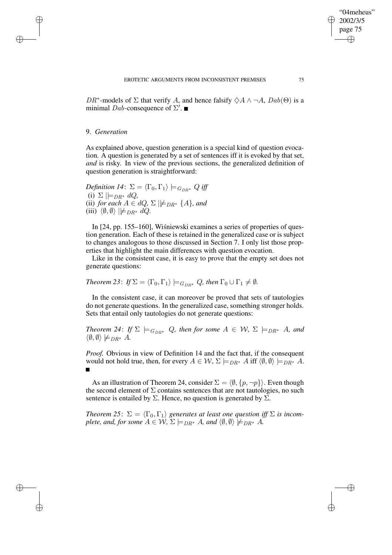DR<sup>\*</sup>-models of  $\Sigma$  that verify A, and hence falsify  $\diamondsuit A \land \neg A$ ,  $Dab(\Theta)$  is a minimal Dab-consequence of  $\Sigma'$ .

## 9. *Generation*

✐

✐

✐

✐

As explained above, question generation is a special kind of question evocation. A question is generated by a set of sentences iff it is evoked by that set, *and* is risky. In view of the previous sections, the generalized definition of question generation is straightforward:

*Definition* 14:  $\Sigma = \langle \Gamma_0, \Gamma_1 \rangle \models_{G_{DR^*}} Q$  *iff* (i)  $\Sigma \models_{DR^*} dQ$ (ii) *for each*  $A \in dQ$ ,  $\Sigma \not\models_{DR^*} \{A\}$ *, and* (iii)  $\langle \emptyset, \emptyset \rangle \not\models_{DR^*} dQ.$ 

In [24, pp. 155–160], Wiśniewski examines a series of properties of question generation. Each of these is retained in the generalized case or is subject to changes analogous to those discussed in Section 7. I only list those properties that highlight the main differences with question evocation.

Like in the consistent case, it is easy to prove that the empty set does not generate questions:

*Theorem* 23: *If*  $\Sigma = \langle \Gamma_0, \Gamma_1 \rangle \models_{G_{DP} *} Q$ *, then*  $\Gamma_0 \cup \Gamma_1 \neq \emptyset$ *.* 

In the consistent case, it can moreover be proved that sets of tautologies do not generate questions. In the generalized case, something stronger holds. Sets that entail only tautologies do not generate questions:

*Theorem* 24: *If*  $\Sigma \models_{G_{DR^*}} Q$ *, then for some*  $A \in W$ *,*  $\Sigma \models_{DR^*} A$ *, and*  $\langle \emptyset, \emptyset \rangle \not\models_{DR^*} A$ .

*Proof.* Obvious in view of Definition 14 and the fact that, if the consequent would not hold true, then, for every  $A \in W$ ,  $\Sigma \models_{DR^*} A$  iff  $\langle \emptyset, \emptyset \rangle \models_{DR^*} A$ . Г

As an illustration of Theorem 24, consider  $\Sigma = \langle \emptyset, \{p, \neg p\} \rangle$ . Even though the second element of  $\Sigma$  contains sentences that are not tautologies, no such sentence is entailed by  $\Sigma$ . Hence, no question is generated by  $\Sigma$ .

*Theorem* 25:  $\Sigma = \langle \Gamma_0, \Gamma_1 \rangle$  generates at least one question iff  $\Sigma$  is incom*plete, and, for some*  $A \in \mathcal{W}$ ,  $\Sigma \models_{DR^*} A$ *, and*  $\langle \emptyset, \emptyset \rangle \not\models_{DR^*} A$ *.* 

"04meheus" 2002/3/5 page 75

✐

✐

✐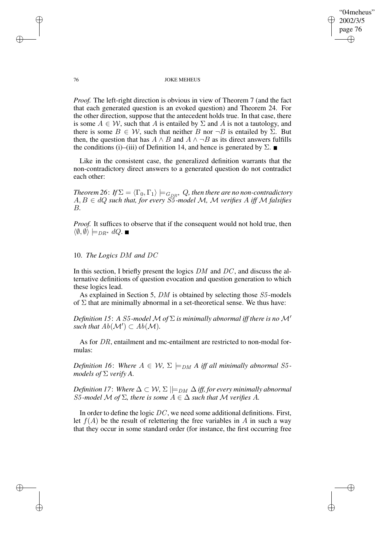## "04meheus" 2002/3/5 page 76 ✐ ✐

✐

✐

### 76 JOKE MEHEUS

*Proof.* The left-right direction is obvious in view of Theorem 7 (and the fact that each generated question is an evoked question) and Theorem 24. For the other direction, suppose that the antecedent holds true. In that case, there is some  $A \in \mathcal{W}$ , such that A is entailed by  $\Sigma$  and A is not a tautology, and there is some  $B \in W$ , such that neither B nor  $\neg B$  is entailed by  $\Sigma$ . But then, the question that has  $A \wedge B$  and  $A \wedge \neg B$  as its direct answers fulfills the conditions (i)–(iii) of Definition 14, and hence is generated by  $\Sigma$ .

Like in the consistent case, the generalized definition warrants that the non-contradictory direct answers to a generated question do not contradict each other:

 $Theorem\ 26\colon \textit{If}\, \Sigma = \langle \Gamma_0, \Gamma_1\rangle \models_{G_{DR} *} Q,$  then there are no non-contradictory A, B ∈ dQ *such that, for every* S5 *-model* M*,* M *verifies* A *iff* M *falsifies* B*.*

*Proof.* It suffices to observe that if the consequent would not hold true, then  $\langle \emptyset, \emptyset \rangle \models_{DR^*} dQ.$ 

# 10. *The Logics* DM *and* DC

In this section, I briefly present the logics  $DM$  and  $DC$ , and discuss the alternative definitions of question evocation and question generation to which these logics lead.

As explained in Section 5, DM is obtained by selecting those S5-models of  $\Sigma$  that are minimally abnormal in a set-theoretical sense. We thus have:

*Definition* 15: A S5-model M of  $\Sigma$  *is minimally abnormal iff there is no* M' such that  $Ab(\mathcal{M}') \subset Ab(\mathcal{M})$ .

As for DR, entailment and mc-entailment are restricted to non-modal formulas:

*Definition* 16: Where  $A \in W$ ,  $\Sigma \models_{DM} A$  *iff all minimally abnormal* S5*models of*  $\Sigma$  *verify* A.

*Definition* 17: *Where*  $\Delta \subset W$ ,  $\Sigma \models_{DM} \Delta$  *iff, for every minimally abnormal* S5-model M of  $\Sigma$ , there is some  $A \in \Delta$  such that M verifies A.

In order to define the logic  $DC$ , we need some additional definitions. First, let  $f(A)$  be the result of relettering the free variables in A in such a way that they occur in some standard order (for instance, the first occurring free

✐

✐

✐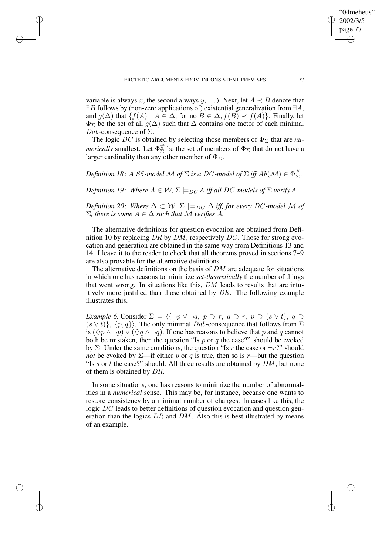✐

✐

✐

variable is always x, the second always y, ...). Next, let  $A \prec B$  denote that  $\exists B$  follows by (non-zero applications of) existential generalization from  $\exists A$ , and  $q(\Delta)$  that  $\{f(A) \mid A \in \Delta;$  for no  $B \in \Delta, f(B) \prec f(A)\}$ . Finally, let  $\Phi_{\Sigma}$  be the set of all  $g(\Delta)$  such that  $\Delta$  contains one factor of each minimal Dab-consequence of  $\Sigma$ .

The logic DC is obtained by selecting those members of  $\Phi_{\Sigma}$  that are *numerically* smallest. Let  $\Phi_{\Sigma}^{\#}$  $\frac{\pi}{2}$  be the set of members of  $\Phi_{\Sigma}$  that do not have a larger cardinality than any other member of  $\Phi_{\Sigma}$ .

*Definition 18*: *A S5-model*  $\mathcal M$  *of*  $\Sigma$  *is a DC-model of*  $\Sigma$  *iff*  $Ab(\mathcal M) \in \Phi_{\Sigma}^{\#}$ Σ *.*

*Definition* 19: *Where*  $A \in W$ ,  $\Sigma \models_{DC} A$  *iff all* DC-models of  $\Sigma$  *verify* A.

*Definition* 20: *Where*  $\Delta \subset W$ ,  $\Sigma \models_{DC} \Delta$  *iff, for every DC*-model M of  $\Sigma$ *, there is some*  $A \in \Delta$  *such that* M *verifies* A.

The alternative definitions for question evocation are obtained from Definition 10 by replacing DR by  $\overline{DM}$ , respectively DC. Those for strong evocation and generation are obtained in the same way from Definitions 13 and 14. I leave it to the reader to check that all theorems proved in sections 7–9 are also provable for the alternative definitions.

The alternative definitions on the basis of DM are adequate for situations in which one has reasons to minimize *set-theoretically* the number of things that went wrong. In situations like this, DM leads to results that are intuitively more justified than those obtained by DR. The following example illustrates this.

*Example* 6. Consider  $\Sigma = \langle {\neg p \vee \neg q, p \supset r, q \supset r, p \supset (s \vee t), q \supset r \rangle}$  $(s \vee t)$ ,  $\{p,q\}$ . The only minimal  $\overline{D}ab$ -consequence that follows from  $\Sigma$ is  $(\Diamond p \land \neg p) \lor (\Diamond q \land \neg q)$ . If one has reasons to believe that p and q cannot both be mistaken, then the question "Is  $p$  or  $q$  the case?" should be evoked by  $\Sigma$ . Under the same conditions, the question "Is r the case or  $\neg r$ ?" should *not* be evoked by  $\Sigma$ —if either p or q is true, then so is r—but the question "Is  $s$  or  $t$  the case?" should. All three results are obtained by  $DM$ , but none of them is obtained by DR.

In some situations, one has reasons to minimize the number of abnormalities in a *numerical* sense. This may be, for instance, because one wants to restore consistency by a minimal number of changes. In cases like this, the logic  $DC$  leads to better definitions of question evocation and question generation than the logics  $DR$  and  $DM$ . Also this is best illustrated by means of an example.

"04meheus" 2002/3/5 page 77

✐

✐

✐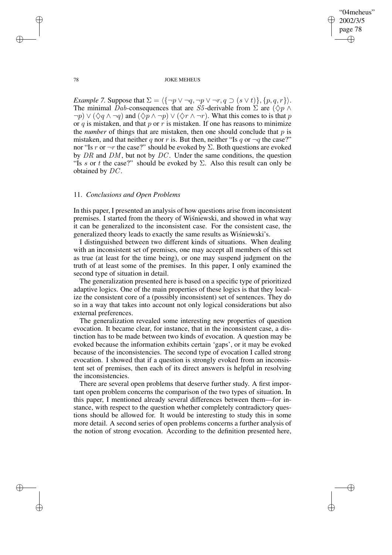✐

#### 78 JOKE MEHEUS

*Example* 7. Suppose that  $\Sigma = \langle {\neg p \lor \neg q, \neg p \lor \neg r, q \supset (s \lor t)} , \{p, q, r\} \rangle$ . The minimal Dab-consequences that are S5-derivable from  $\Sigma$  are  $(\Diamond p \land p)$  $\neg p$ )  $\vee (\Diamond q \wedge \neg q)$  and  $(\Diamond p \wedge \neg p) \vee (\Diamond r \wedge \neg r)$ . What this comes to is that p or q is mistaken, and that  $p$  or  $r$  is mistaken. If one has reasons to minimize the *number* of things that are mistaken, then one should conclude that  $p$  is mistaken, and that neither q nor r is. But then, neither "Is q or  $\neg q$  the case?" nor "Is r or  $\neg r$  the case?" should be evoked by  $\Sigma$ . Both questions are evoked by  $DR$  and  $DM$ , but not by  $DC$ . Under the same conditions, the question "Is s or t the case?" should be evoked by  $\Sigma$ . Also this result can only be obtained by DC.

# 11. *Conclusions and Open Problems*

In this paper, I presented an analysis of how questions arise from inconsistent premises. I started from the theory of Wisniewski, and showed in what way it can be generalized to the inconsistent case. For the consistent case, the generalized theory leads to exactly the same results as Wisniewski's.

I distinguished between two different kinds of situations. When dealing with an inconsistent set of premises, one may accept all members of this set as true (at least for the time being), or one may suspend judgment on the truth of at least some of the premises. In this paper, I only examined the second type of situation in detail.

The generalization presented here is based on a specific type of prioritized adaptive logics. One of the main properties of these logics is that they localize the consistent core of a (possibly inconsistent) set of sentences. They do so in a way that takes into account not only logical considerations but also external preferences.

The generalization revealed some interesting new properties of question evocation. It became clear, for instance, that in the inconsistent case, a distinction has to be made between two kinds of evocation. A question may be evoked because the information exhibits certain 'gaps', or it may be evoked because of the inconsistencies. The second type of evocation I called strong evocation. I showed that if a question is strongly evoked from an inconsistent set of premises, then each of its direct answers is helpful in resolving the inconsistencies.

There are several open problems that deserve further study. A first important open problem concerns the comparison of the two types of situation. In this paper, I mentioned already several differences between them—for instance, with respect to the question whether completely contradictory questions should be allowed for. It would be interesting to study this in some more detail. A second series of open problems concerns a further analysis of the notion of strong evocation. According to the definition presented here,

✐

✐

✐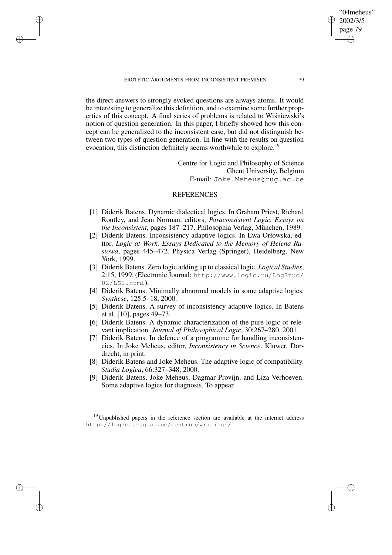EROTETIC ARGUMENTS FROM INCONSISTENT PREMISES 79

✐

✐

✐

✐

the direct answers to strongly evoked questions are always atoms. It would be interesting to generalize this definition, and to examine some further properties of this concept. A final series of problems is related to Wisniewski's notion of question generation. In this paper, I briefly showed how this concept can be generalized to the inconsistent case, but did not distinguish between two types of question generation. In line with the results on question evocation, this distinction definitely seems worthwhile to explore.<sup>19</sup>

> Centre for Logic and Philosophy of Science Ghent University, Belgium E-mail: Joke.Meheus@rug.ac.be

## **REFERENCES**

- [1] Diderik Batens. Dynamic dialectical logics. In Graham Priest, Richard Routley, and Jean Norman, editors, *Paraconsistent Logic. Essays on the Inconsistent*, pages 187–217. Philosophia Verlag, München, 1989.
- [2] Diderik Batens. Inconsistency-adaptive logics. In Ewa Orłowska, editor, *Logic at Work. Essays Dedicated to the Memory of Helena Rasiowa*, pages 445–472. Physica Verlag (Springer), Heidelberg, New York, 1999.
- [3] Diderik Batens. Zero logic adding up to classical logic. *Logical Studies*, 2:15, 1999. (Electronic Journal: http://www.logic.ru/LogStud/ 02/LS2.html).
- [4] Diderik Batens. Minimally abnormal models in some adaptive logics. *Synthese*, 125:5–18, 2000.
- [5] Diderik Batens. A survey of inconsistency-adaptive logics. In Batens et al. [10], pages 49–73.
- [6] Diderik Batens. A dynamic characterization of the pure logic of relevant implication. *Journal of Philosophical Logic*, 30:267–280, 2001.
- [7] Diderik Batens. In defence of a programme for handling inconsistencies. In Joke Meheus, editor, *Inconsistency in Science*. Kluwer, Dordrecht, in print.
- [8] Diderik Batens and Joke Meheus. The adaptive logic of compatibility. *Studia Logica*, 66:327–348, 2000.
- [9] Diderik Batens, Joke Meheus, Dagmar Provijn, and Liza Verhoeven. Some adaptive logics for diagnosis. To appear.

 $19$  Unpublished papers in the reference section are available at the internet address http://logica.rug.ac.be/centrum/writings/.

"04meheus" 2002/3/5 page 79

✐

✐

✐